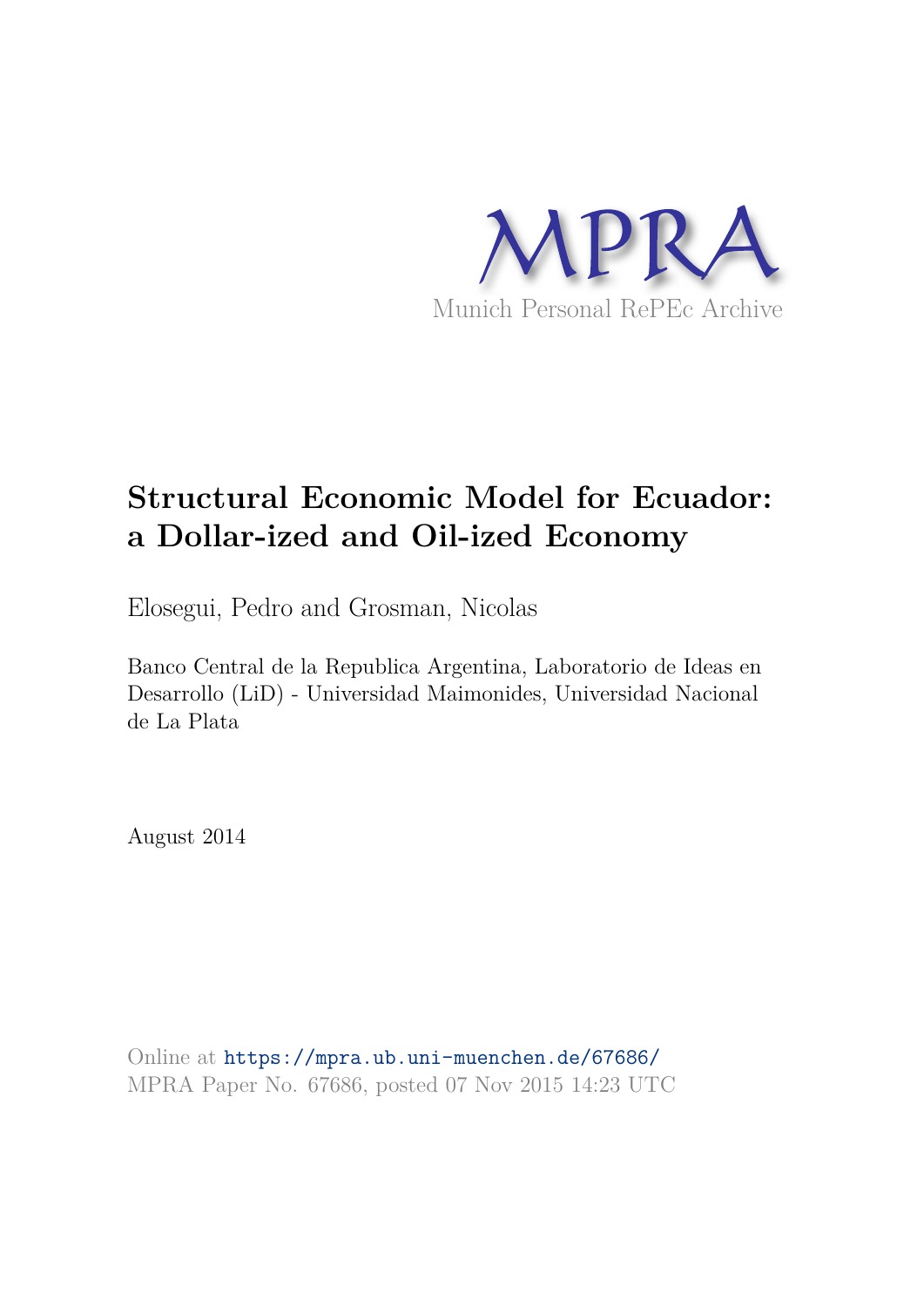

# **Structural Economic Model for Ecuador: a Dollar-ized and Oil-ized Economy**

Elosegui, Pedro and Grosman, Nicolas

Banco Central de la Republica Argentina, Laboratorio de Ideas en Desarrollo (LiD) - Universidad Maimonides, Universidad Nacional de La Plata

August 2014

Online at https://mpra.ub.uni-muenchen.de/67686/ MPRA Paper No. 67686, posted 07 Nov 2015 14:23 UTC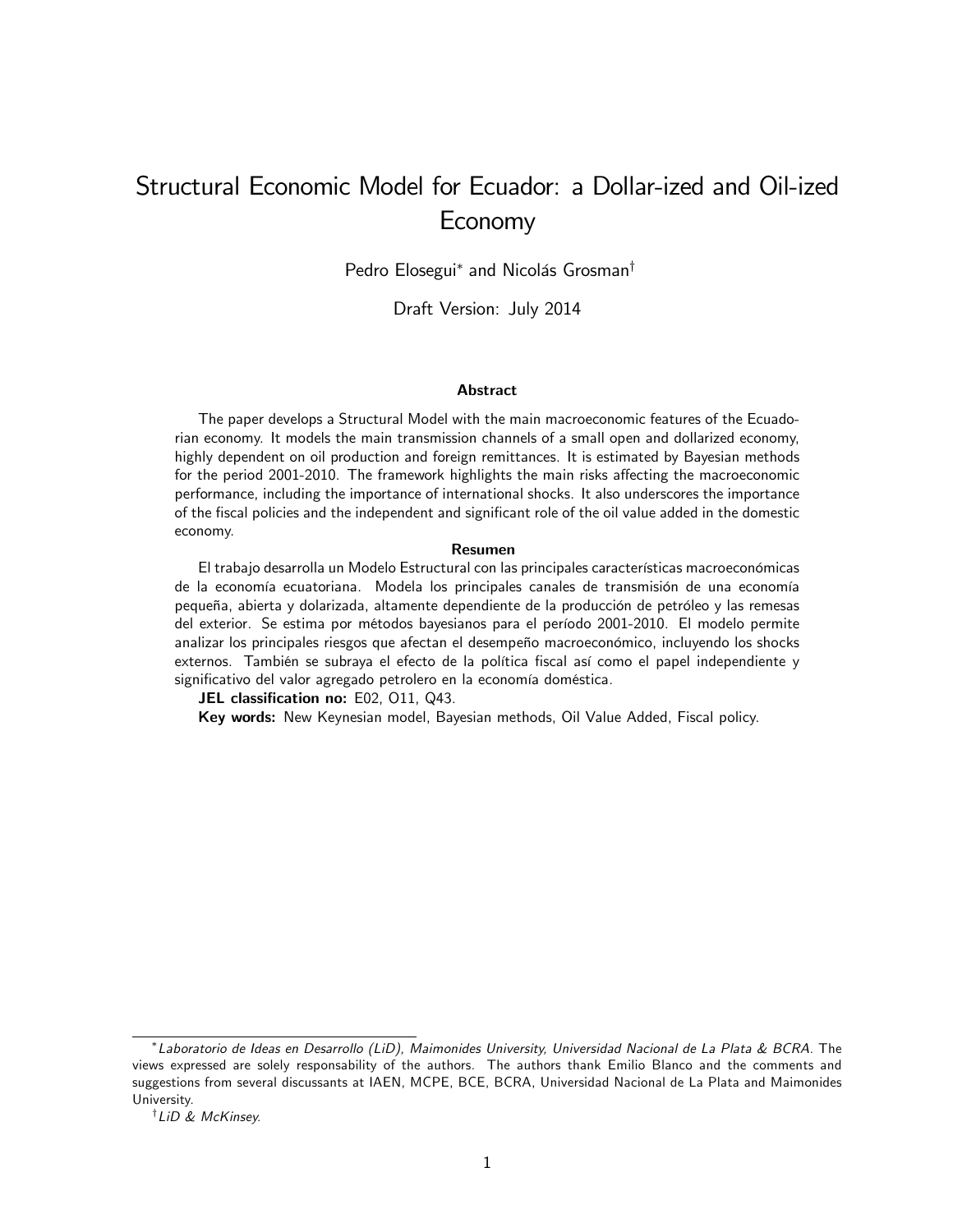## Structural Economic Model for Ecuador: a Dollar-ized and Oil-ized Economy

Pedro Elosegui $^*$  and Nicolás Grosman $^\dagger$ 

Draft Version: July 2014

#### Abstract

The paper develops a Structural Model with the main macroeconomic features of the Ecuadorian economy. It models the main transmission channels of a small open and dollarized economy, highly dependent on oil production and foreign remittances. It is estimated by Bayesian methods for the period 2001-2010. The framework highlights the main risks affecting the macroeconomic performance, including the importance of international shocks. It also underscores the importance of the fiscal policies and the independent and significant role of the oil value added in the domestic economy.

#### Resumen

El trabajo desarrolla un Modelo Estructural con las principales características macroeconómicas de la economía ecuatoriana. Modela los principales canales de transmisión de una economía pequeña, abierta y dolarizada, altamente dependiente de la producción de petróleo y las remesas del exterior. Se estima por métodos bayesianos para el período 2001-2010. El modelo permite analizar los principales riesgos que afectan el desempeño macroeconómico, incluyendo los shocks externos. También se subraya el efecto de la política fiscal así como el papel independiente y significativo del valor agregado petrolero en la economía doméstica.

JEL classification no: E02, O11, Q43.

Key words: New Keynesian model, Bayesian methods, Oil Value Added, Fiscal policy.

Laboratorio de Ideas en Desarrollo (LiD), Maimonides University, Universidad Nacional de La Plata & BCRA. The views expressed are solely responsability of the authors. The authors thank Emilio Blanco and the comments and suggestions from several discussants at IAEN, MCPE, BCE, BCRA, Universidad Nacional de La Plata and Maimonides University.

<sup>&</sup>lt;sup>†</sup> LiD & McKinsey.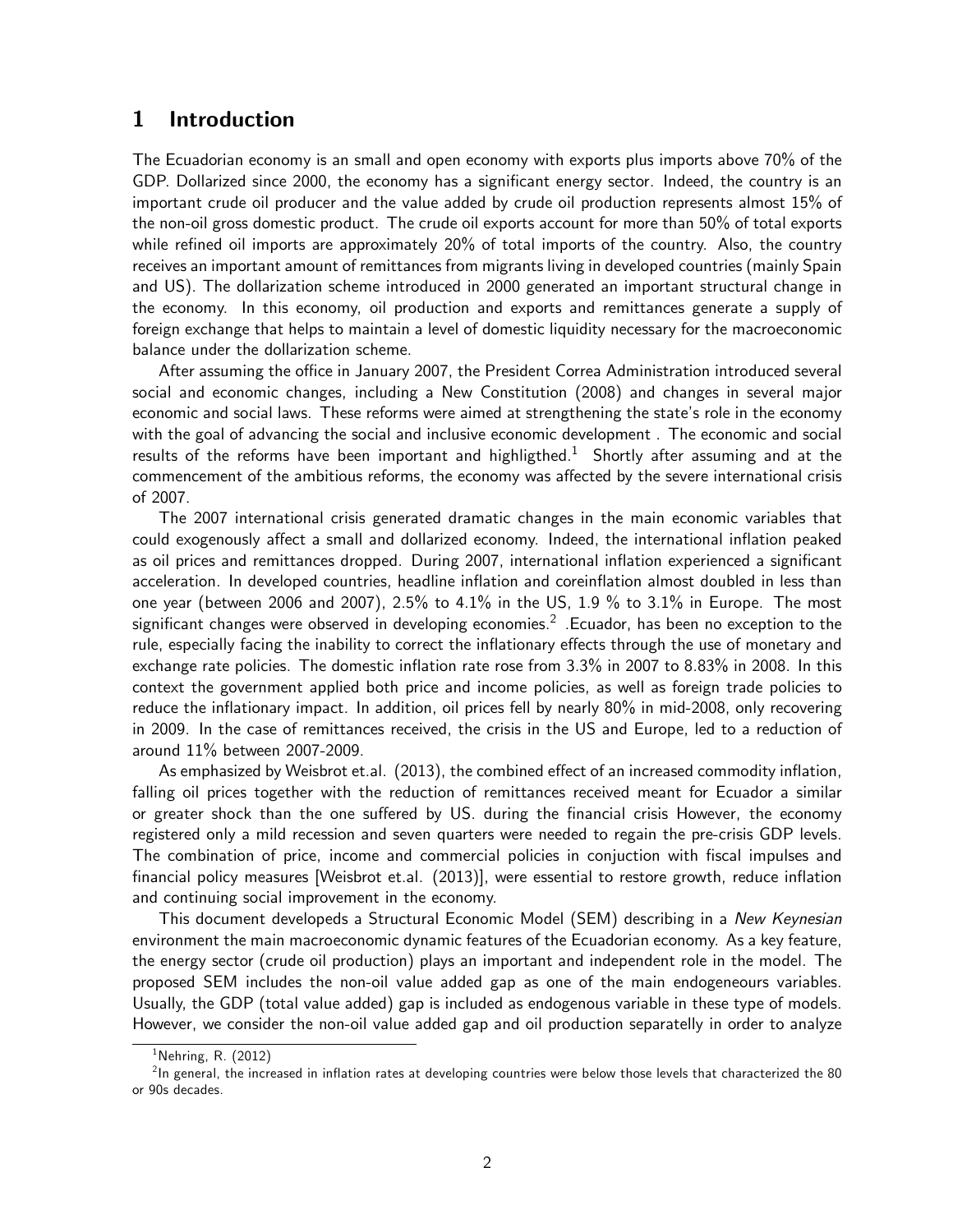### 1 Introduction

The Ecuadorian economy is an small and open economy with exports plus imports above 70% of the GDP. Dollarized since 2000, the economy has a significant energy sector. Indeed, the country is an important crude oil producer and the value added by crude oil production represents almost 15% of the non-oil gross domestic product. The crude oil exports account for more than 50% of total exports while refined oil imports are approximately 20% of total imports of the country. Also, the country receives an important amount of remittances from migrants living in developed countries (mainly Spain and US). The dollarization scheme introduced in 2000 generated an important structural change in the economy. In this economy, oil production and exports and remittances generate a supply of foreign exchange that helps to maintain a level of domestic liquidity necessary for the macroeconomic balance under the dollarization scheme.

After assuming the office in January 2007, the President Correa Administration introduced several social and economic changes, including a New Constitution (2008) and changes in several major economic and social laws. These reforms were aimed at strengthening the state's role in the economy with the goal of advancing the social and inclusive economic development . The economic and social results of the reforms have been important and highligthed.<sup>1</sup> Shortly after assuming and at the commencement of the ambitious reforms, the economy was affected by the severe international crisis of 2007.

The 2007 international crisis generated dramatic changes in the main economic variables that could exogenously affect a small and dollarized economy. Indeed, the international inflation peaked as oil prices and remittances dropped. During 2007, international inflation experienced a significant acceleration. In developed countries, headline inflation and coreinflation almost doubled in less than one year (between 2006 and 2007), 2.5% to 4.1% in the US, 1.9 % to 3.1% in Europe. The most significant changes were observed in developing economies. $^2\,$  .Ecuador, has been no exception to the rule, especially facing the inability to correct the inflationary effects through the use of monetary and exchange rate policies. The domestic inflation rate rose from 3.3% in 2007 to 8.83% in 2008. In this context the government applied both price and income policies, as well as foreign trade policies to reduce the inflationary impact. In addition, oil prices fell by nearly 80% in mid-2008, only recovering in 2009. In the case of remittances received, the crisis in the US and Europe, led to a reduction of around 11% between 2007-2009.

As emphasized by Weisbrot et.al. (2013), the combined effect of an increased commodity inflation, falling oil prices together with the reduction of remittances received meant for Ecuador a similar or greater shock than the one suffered by US. during the financial crisis However, the economy registered only a mild recession and seven quarters were needed to regain the pre-crisis GDP levels. The combination of price, income and commercial policies in conjuction with fiscal impulses and financial policy measures [Weisbrot et.al. (2013)], were essential to restore growth, reduce inflation and continuing social improvement in the economy.

This document developeds a Structural Economic Model (SEM) describing in a New Keynesian environment the main macroeconomic dynamic features of the Ecuadorian economy. As a key feature, the energy sector (crude oil production) plays an important and independent role in the model. The proposed SEM includes the non-oil value added gap as one of the main endogeneours variables. Usually, the GDP (total value added) gap is included as endogenous variable in these type of models. However, we consider the non-oil value added gap and oil production separatelly in order to analyze

 $1$ Nehring, R. (2012)

 $^2$ In general, the increased in inflation rates at developing countries were below those levels that characterized the 80  $\,$ or 90s decades.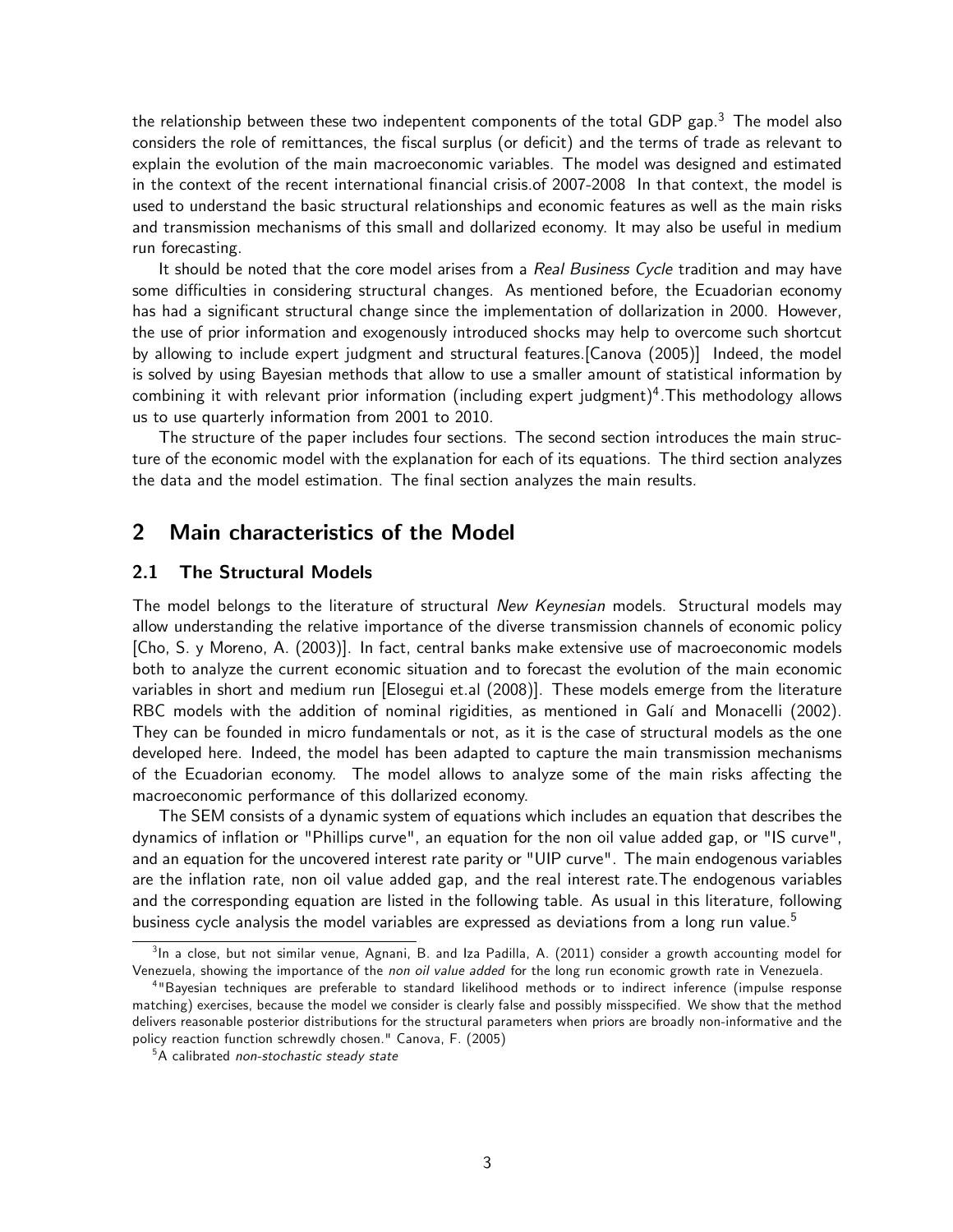the relationship between these two indepentent components of the total GDP gap.<sup>3</sup> The model also considers the role of remittances, the fiscal surplus (or deficit) and the terms of trade as relevant to explain the evolution of the main macroeconomic variables. The model was designed and estimated in the context of the recent international financial crisis of 2007-2008 In that context, the model is used to understand the basic structural relationships and economic features as well as the main risks and transmission mechanisms of this small and dollarized economy. It may also be useful in medium run forecasting.

It should be noted that the core model arises from a *Real Business Cycle* tradition and may have some difficulties in considering structural changes. As mentioned before, the Ecuadorian economy has had a significant structural change since the implementation of dollarization in 2000. However, the use of prior information and exogenously introduced shocks may help to overcome such shortcut by allowing to include expert judgment and structural features.[Canova (2005)] Indeed, the model is solved by using Bayesian methods that allow to use a smaller amount of statistical information by combining it with relevant prior information (including expert judgment) $^4$  This methodology allows us to use quarterly information from 2001 to 2010.

The structure of the paper includes four sections. The second section introduces the main structure of the economic model with the explanation for each of its equations. The third section analyzes the data and the model estimation. The final section analyzes the main results.

### 2 Main characteristics of the Model

### 2.1 The Structural Models

The model belongs to the literature of structural New Keynesian models. Structural models may allow understanding the relative importance of the diverse transmission channels of economic policy [Cho, S. y Moreno, A. (2003)]. In fact, central banks make extensive use of macroeconomic models both to analyze the current economic situation and to forecast the evolution of the main economic variables in short and medium run [Elosegui et.al (2008)]. These models emerge from the literature RBC models with the addition of nominal rigidities, as mentioned in Galí and Monacelli (2002). They can be founded in micro fundamentals or not, as it is the case of structural models as the one developed here. Indeed, the model has been adapted to capture the main transmission mechanisms of the Ecuadorian economy. The model allows to analyze some of the main risks affecting the macroeconomic performance of this dollarized economy.

The SEM consists of a dynamic system of equations which includes an equation that describes the dynamics of inflation or "Phillips curve", an equation for the non oil value added gap, or "IS curve", and an equation for the uncovered interest rate parity or "UIP curve". The main endogenous variables are the inflation rate, non oil value added gap, and the real interest rate. The endogenous variables and the corresponding equation are listed in the following table. As usual in this literature, following business cycle analysis the model variables are expressed as deviations from a long run value.<sup>5</sup>

 $^3$ In a close, but not similar venue, Agnani, B. and Iza Padilla, A. (2011) consider a growth accounting model for Venezuela, showing the importance of the non oil value added for the long run economic growth rate in Venezuela.

<sup>4</sup> "Bayesian techniques are preferable to standard likelihood methods or to indirect inference (impulse response matching) exercises, because the model we consider is clearly false and possibly misspecified. We show that the method delivers reasonable posterior distributions for the structural parameters when priors are broadly non-informative and the policy reaction function schrewdly chosen." Canova, F. (2005)

 $5A$  calibrated non-stochastic steady state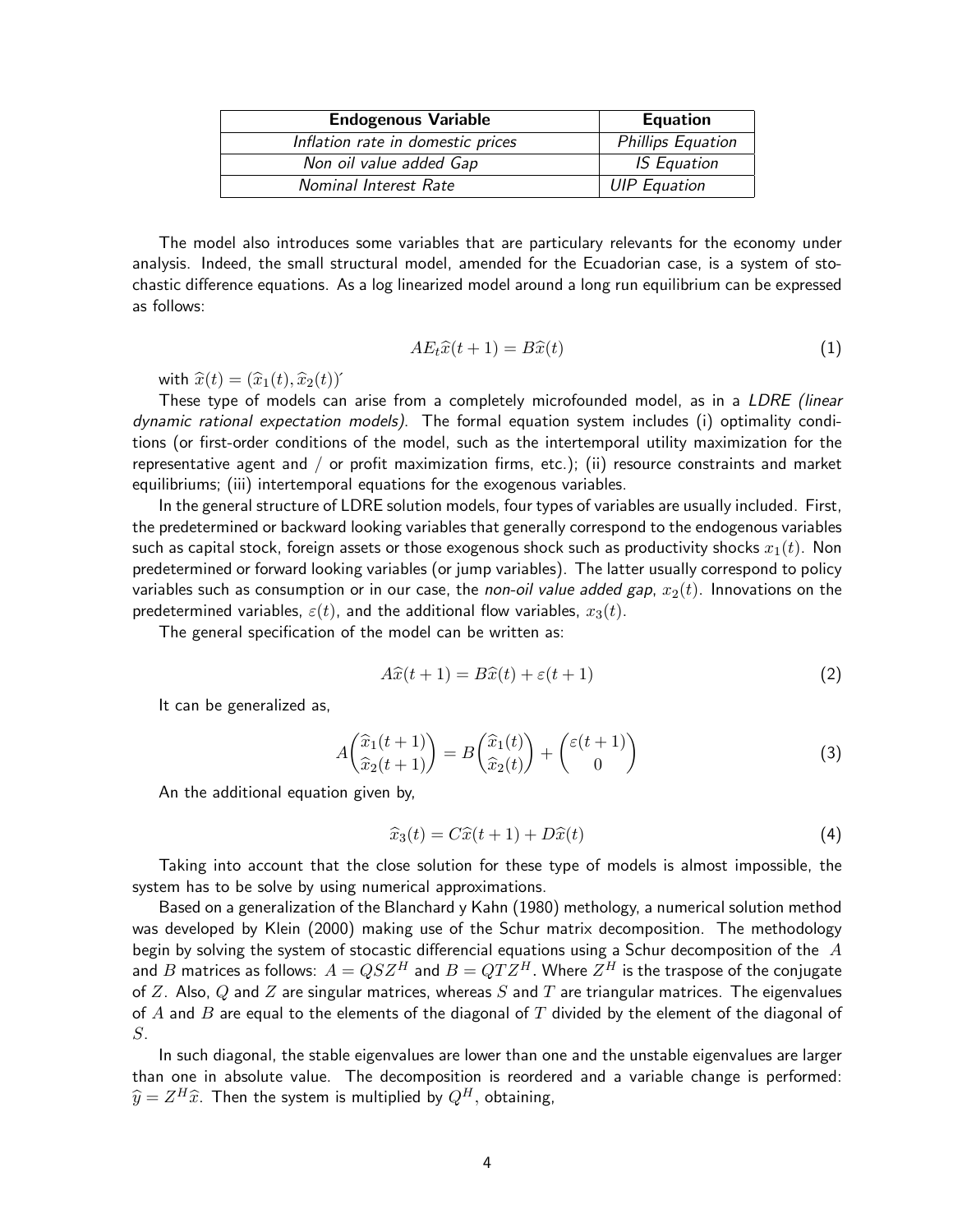| <b>Endogenous Variable</b>        | <b>Equation</b>          |  |  |  |
|-----------------------------------|--------------------------|--|--|--|
| Inflation rate in domestic prices | <b>Phillips Equation</b> |  |  |  |
| Non oil value added Gap           | <b>IS Equation</b>       |  |  |  |
| Nominal Interest Rate             | <b>UIP</b> Equation      |  |  |  |

The model also introduces some variables that are particulary relevants for the economy under analysis. Indeed, the small structural model, amended for the Ecuadorian case, is a system of stochastic difference equations. As a log linearized model around a long run equilibrium can be expressed as follows:

$$
AE_t\widehat{x}(t+1) = B\widehat{x}(t)
$$
 (1)

with  $\hat{x}(t) = (\hat{x}_1(t), \hat{x}_2(t))$ 

These type of models can arise from a completely microfounded model, as in a LDRE (linear dynamic rational expectation models). The formal equation system includes (i) optimality conditions (or first-order conditions of the model, such as the intertemporal utility maximization for the representative agent and / or profit maximization firms, etc.); (ii) resource constraints and market equilibriums; (iii) intertemporal equations for the exogenous variables.

In the general structure of LDRE solution models, four types of variables are usually included. First, the predetermined or backward looking variables that generally correspond to the endogenous variables such as capital stock, foreign assets or those exogenous shock such as productivity shocks  $x_1(t)$ . Non predetermined or forward looking variables (or jump variables). The latter usually correspond to policy variables such as consumption or in our case, the non-oil value added gap,  $x_2(t)$ . Innovations on the predetermined variables,  $\varepsilon(t)$ , and the additional flow variables,  $x_3(t)$ .

The general specification of the model can be written as:

$$
A\widehat{x}(t+1) = B\widehat{x}(t) + \varepsilon(t+1)
$$
\n(2)

It can be generalized as,

$$
A\begin{pmatrix} \hat{x}_1(t+1) \\ \hat{x}_2(t+1) \end{pmatrix} = B\begin{pmatrix} \hat{x}_1(t) \\ \hat{x}_2(t) \end{pmatrix} + \begin{pmatrix} \varepsilon(t+1) \\ 0 \end{pmatrix}
$$
 (3)

An the additional equation given by,

$$
\widehat{x}_3(t) = C\widehat{x}(t+1) + D\widehat{x}(t)
$$
\n(4)

Taking into account that the close solution for these type of models is almost impossible, the system has to be solve by using numerical approximations.

Based on a generalization of the Blanchard y Kahn (1980) methology, a numerical solution method was developed by Klein (2000) making use of the Schur matrix decomposition. The methodology begin by solving the system of stocastic differencial equations using a Schur decomposition of the  $A$ and  $B$  matrices as follows:  $A=QSZ^H$  and  $B=QTZ^H.$  Where  $Z^H$  is the traspose of the conjugate of Z. Also, Q and Z are singular matrices, whereas S and T are triangular matrices. The eigenvalues of A and B are equal to the elements of the diagonal of T divided by the element of the diagonal of S.

In such diagonal, the stable eigenvalues are lower than one and the unstable eigenvalues are larger than one in absolute value. The decomposition is reordered and a variable change is performed:  $\widehat{y} = Z^H\widehat{x}$ . Then the system is multiplied by  $Q^H,$  obtaining,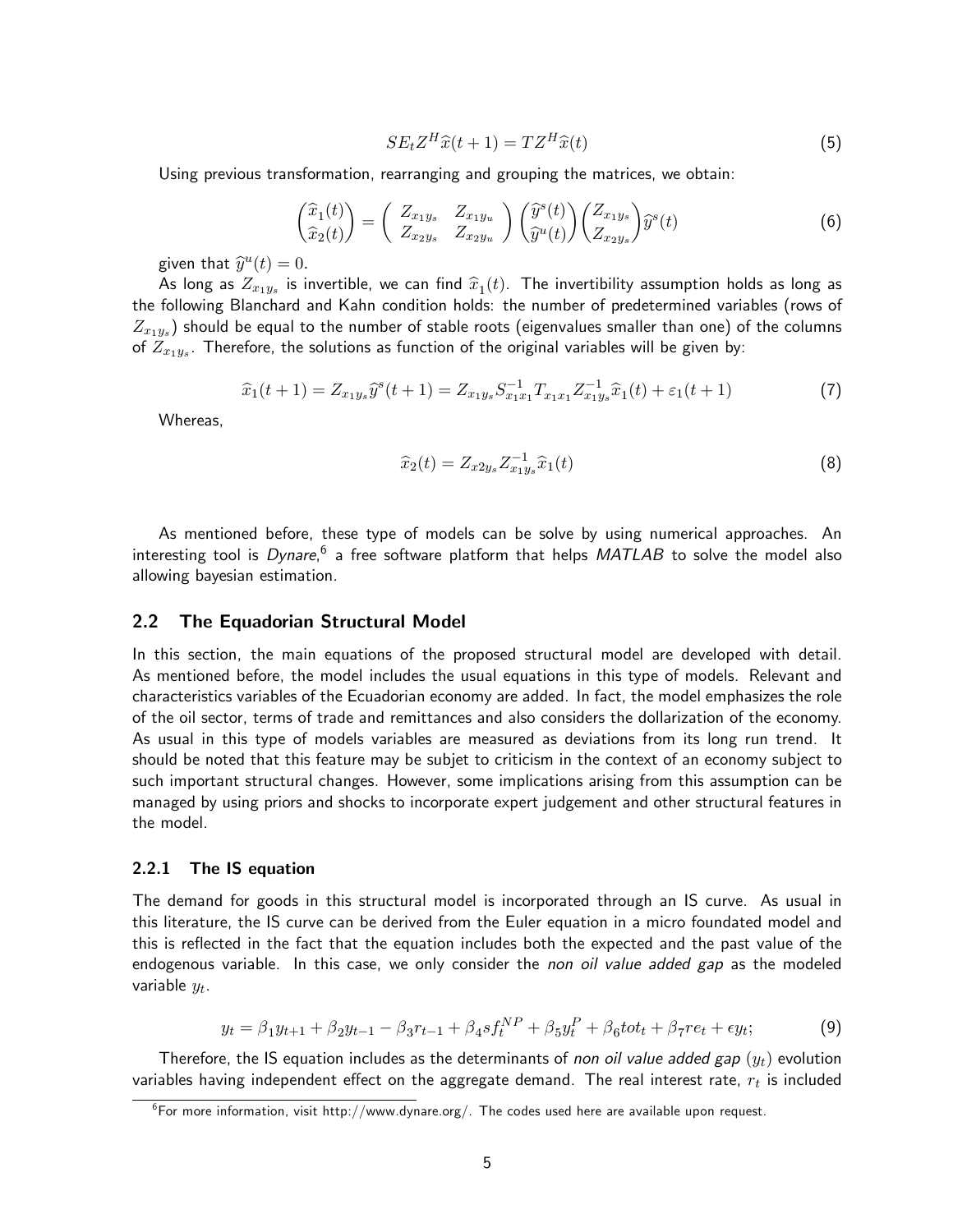$$
SE_t Z^H \hat{x}(t+1) = T Z^H \hat{x}(t)
$$
\n<sup>(5)</sup>

Using previous transformation, rearranging and grouping the matrices, we obtain:

$$
\begin{pmatrix}\n\widehat{x}_1(t) \\
\widehat{x}_2(t)\n\end{pmatrix} = \begin{pmatrix}\nZ_{x_1y_s} & Z_{x_1y_u} \\
Z_{x_2y_s} & Z_{x_2y_u}\n\end{pmatrix} \begin{pmatrix}\n\widehat{y}^s(t) \\
\widehat{y}^u(t)\n\end{pmatrix} \begin{pmatrix}\nZ_{x_1y_s} \\
Z_{x_2y_s}\n\end{pmatrix} \widehat{y}^s(t)
$$
\n(6)

given that  $\widehat{y}^u(t) = 0.$ 

As long as  $Z_{x_1y_s}$  is invertible, we can find  $\widehat{x}_1(t)$ . The invertibility assumption holds as long as the following Blanchard and Kahn condition holds: the number of predetermined variables (rows of  $\mathcal{Z}_{x_1y_s})$  should be equal to the number of stable roots (eigenvalues smaller than one) of the columns of  $Z_{x_1y_s}.$  Therefore, the solutions as function of the original variables will be given by:

$$
\widehat{x}_1(t+1) = Z_{x_1y_s}\widehat{y}^s(t+1) = Z_{x_1y_s}S_{x_1x_1}^{-1}T_{x_1x_1}Z_{x_1y_s}^{-1}\widehat{x}_1(t) + \varepsilon_1(t+1)
$$
\n(7)

Whereas,

$$
\widehat{x}_2(t) = Z_{x2y_s} Z_{x_1y_s}^{-1} \widehat{x}_1(t)
$$
\n(8)

As mentioned before, these type of models can be solve by using numerical approaches. An interesting tool is  $Dyn$ are, $^6$  a free software platform that helps  $MATLAB$  to solve the model also allowing bayesian estimation.

#### 2.2 The Equadorian Structural Model

In this section, the main equations of the proposed structural model are developed with detail. As mentioned before, the model includes the usual equations in this type of models. Relevant and characteristics variables of the Ecuadorian economy are added. In fact, the model emphasizes the role of the oil sector, terms of trade and remittances and also considers the dollarization of the economy. As usual in this type of models variables are measured as deviations from its long run trend. It should be noted that this feature may be subjet to criticism in the context of an economy subject to such important structural changes. However, some implications arising from this assumption can be managed by using priors and shocks to incorporate expert judgement and other structural features in the model.

#### 2.2.1 The IS equation

The demand for goods in this structural model is incorporated through an IS curve. As usual in this literature, the IS curve can be derived from the Euler equation in a micro foundated model and this is reflected in the fact that the equation includes both the expected and the past value of the endogenous variable. In this case, we only consider the non oil value added gap as the modeled variable  $y_t$ .

$$
y_t = \beta_1 y_{t+1} + \beta_2 y_{t-1} - \beta_3 r_{t-1} + \beta_4 s f_t^{NP} + \beta_5 y_t^P + \beta_6 t \omega_t + \beta_7 r e_t + \epsilon y_t; \tag{9}
$$

Therefore, the IS equation includes as the determinants of non oil value added gap  $(y_t)$  evolution variables having independent effect on the aggregate demand. The real interest rate,  $r_t$  is included

 $6$ For more information, visit http://www.dynare.org/. The codes used here are available upon request.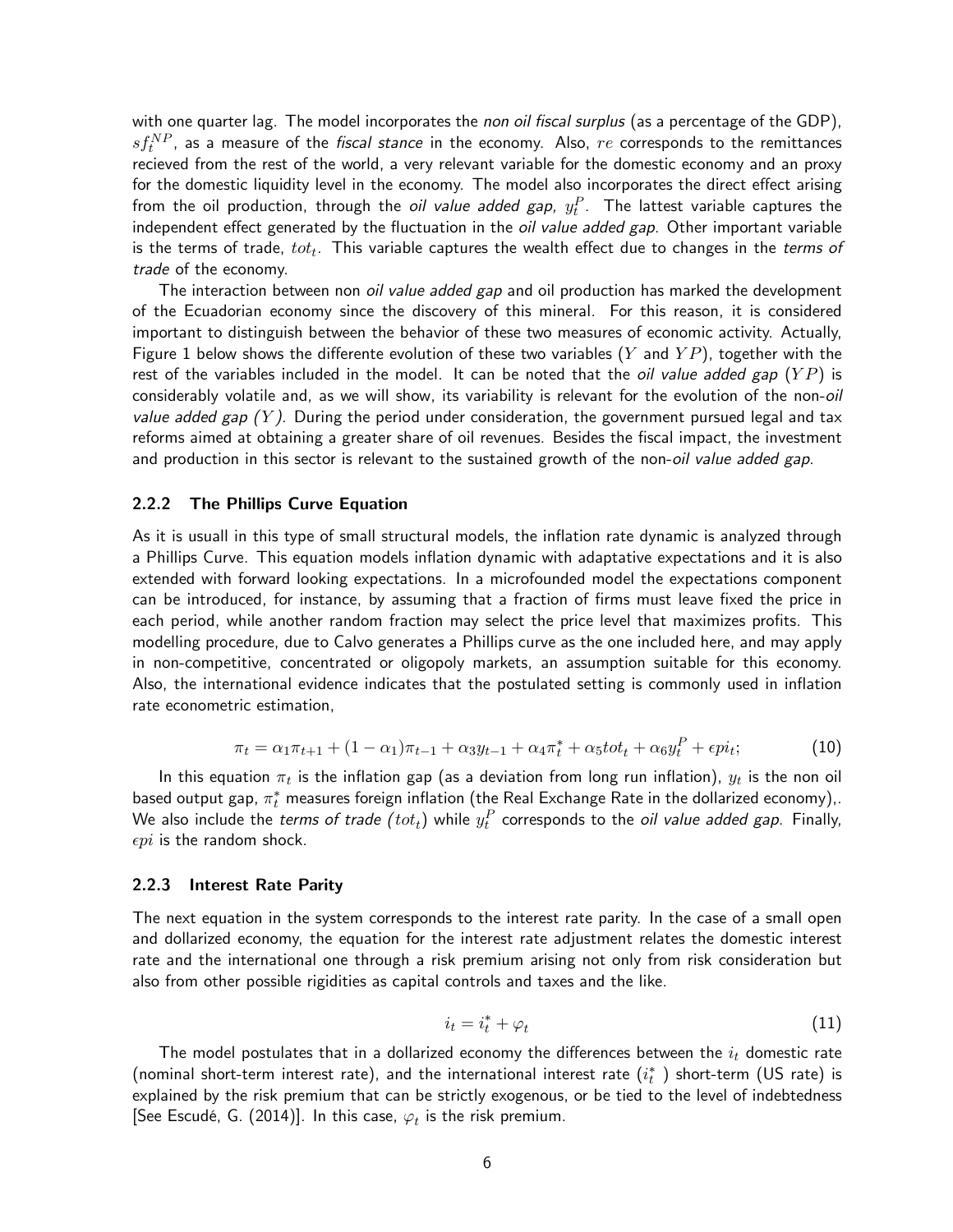with one quarter lag. The model incorporates the non oil fiscal surplus (as a percentage of the GDP),  $\mathit{sf}^{NP}_{t}$ , as a measure of the *fiscal stance* in the economy. Also,  $re$  corresponds to the remittances recieved from the rest of the world, a very relevant variable for the domestic economy and an proxy for the domestic liquidity level in the economy. The model also incorporates the direct effect arising from the oil production, through the *oil value added gap,*  $y^P_t$ . The lattest variable captures the independent effect generated by the fluctuation in the *oil value added gap*. Other important variable is the terms of trade,  $tot_t$ . This variable captures the wealth effect due to changes in the *terms of* trade of the economy.

The interaction between non *oil value added gap* and oil production has marked the development of the Ecuadorian economy since the discovery of this mineral. For this reason, it is considered important to distinguish between the behavior of these two measures of economic activity. Actually, Figure 1 below shows the differente evolution of these two variables  $(Y$  and  $YP)$ , together with the rest of the variables included in the model. It can be noted that the *oil value added gap*  $(YP)$  is considerably volatile and, as we will show, its variability is relevant for the evolution of the non-oil value added gap  $(Y)$ . During the period under consideration, the government pursued legal and tax reforms aimed at obtaining a greater share of oil revenues. Besides the fiscal impact, the investment and production in this sector is relevant to the sustained growth of the non-oil value added gap.

### 2.2.2 The Phillips Curve Equation

As it is usuall in this type of small structural models, the inflation rate dynamic is analyzed through a Phillips Curve. This equation models inflation dynamic with adaptative expectations and it is also extended with forward looking expectations. In a microfounded model the expectations component can be introduced, for instance, by assuming that a fraction of firms must leave fixed the price in each period, while another random fraction may select the price level that maximizes profits. This modelling procedure, due to Calvo generates a Phillips curve as the one included here, and may apply in non-competitive, concentrated or oligopoly markets, an assumption suitable for this economy. Also, the international evidence indicates that the postulated setting is commonly used in inflation rate econometric estimation,

$$
\pi_t = \alpha_1 \pi_{t+1} + (1 - \alpha_1)\pi_{t-1} + \alpha_3 y_{t-1} + \alpha_4 \pi_t^* + \alpha_5 tot_t + \alpha_6 y_t^P + \epsilon p i_t; \tag{10}
$$

In this equation  $\pi_t$  is the inflation gap (as a deviation from long run inflation),  $y_t$  is the non oil based output gap,  $\pi^*_t$  measures foreign inflation (the Real Exchange Rate in the dollarized economy),. We also include the *terms of trade*  $(tot_t)$  while  $y^P_t$  corresponds to the *oil value added gap*. Finally,  $\epsilon pi$  is the random shock.

#### 2.2.3 Interest Rate Parity

The next equation in the system corresponds to the interest rate parity. In the case of a small open and dollarized economy, the equation for the interest rate adjustment relates the domestic interest rate and the international one through a risk premium arising not only from risk consideration but also from other possible rigidities as capital controls and taxes and the like.

$$
i_t = i_t^* + \varphi_t \tag{11}
$$

The model postulates that in a dollarized economy the differences between the  $i_t$  domestic rate (nominal short-term interest rate), and the international interest rate  $(i_t^\ast$  ) short-term (US rate) is explained by the risk premium that can be strictly exogenous, or be tied to the level of indebtedness [See Escudé, G. (2014)]. In this case,  $\varphi_t$  is the risk premium.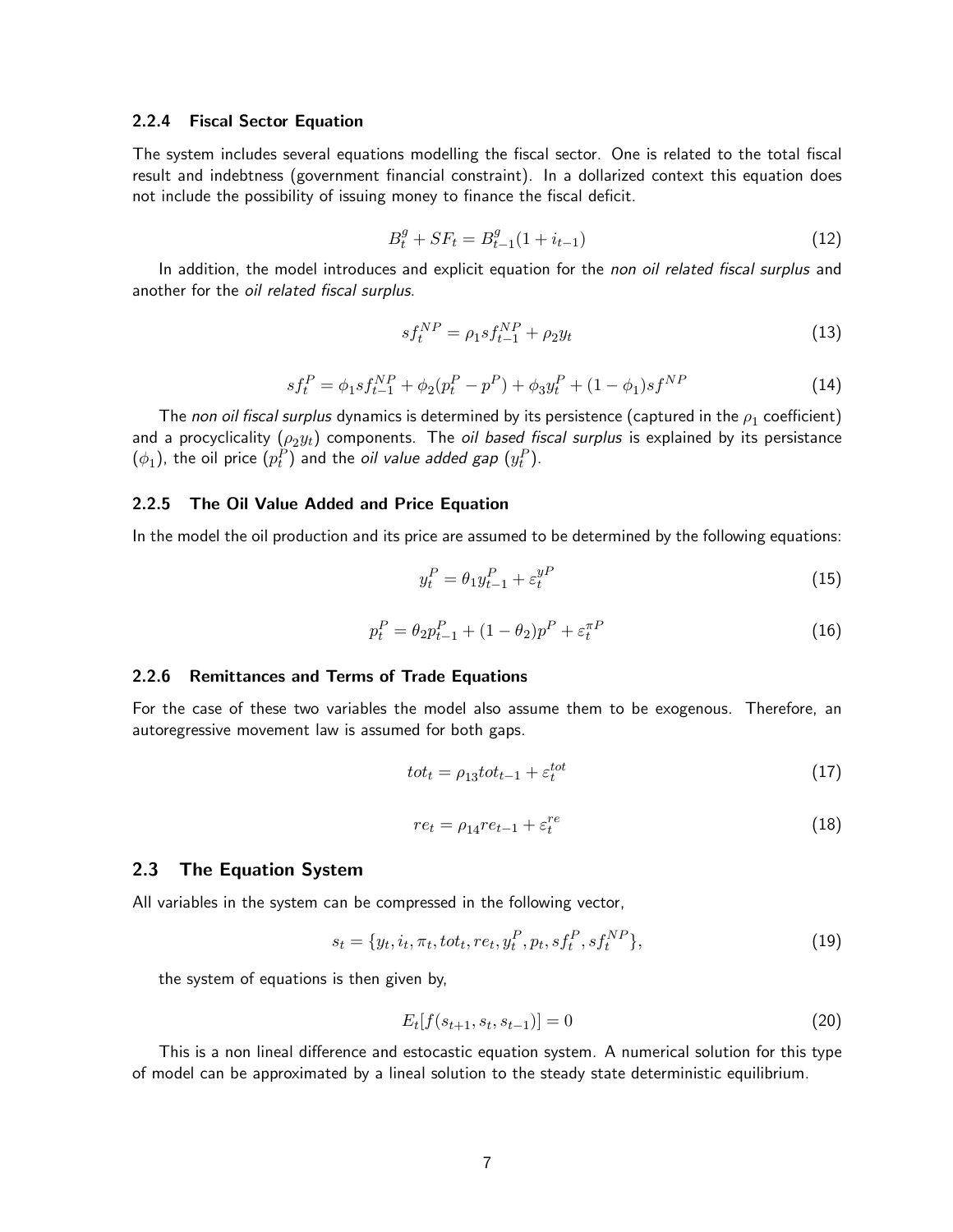### 2.2.4 Fiscal Sector Equation

The system includes several equations modelling the fiscal sector. One is related to the total fiscal result and indebtness (government financial constraint). In a dollarized context this equation does not include the possibility of issuing money to finance the fiscal deficit.

$$
B_t^g + SF_t = B_{t-1}^g (1 + i_{t-1})
$$
\n(12)

In addition, the model introduces and explicit equation for the non oil related fiscal surplus and another for the oil related fiscal surplus.

$$
s f_t^{NP} = \rho_1 s f_{t-1}^{NP} + \rho_2 y_t \tag{13}
$$

$$
sf_t^P = \phi_1 st_{t-1}^{NP} + \phi_2 (p_t^P - p^P) + \phi_3 y_t^P + (1 - \phi_1) s f^{NP}
$$
\n(14)

The *non oil fiscal surplus* dynamics is determined by its persistence (captured in the  $\rho_1$  coefficient) and a procyclicality  $(\rho_2y_t)$  components. The oil based fiscal surplus is explained by its persistance  $(\phi_1)$ , the oil price  $(p_t^P)$  and the *oil value added gap*  $(y_t^P).$ 

### 2.2.5 The Oil Value Added and Price Equation

In the model the oil production and its price are assumed to be determined by the following equations:

$$
y_t^P = \theta_1 y_{t-1}^P + \varepsilon_t^{yP} \tag{15}
$$

$$
p_t^P = \theta_2 p_{t-1}^P + (1 - \theta_2) p^P + \varepsilon_t^{\pi P}
$$
 (16)

### 2.2.6 Remittances and Terms of Trade Equations

For the case of these two variables the model also assume them to be exogenous. Therefore, an autoregressive movement law is assumed for both gaps.

$$
tot_t = \rho_{13} tot_{t-1} + \varepsilon_t^{tot}
$$
\n<sup>(17)</sup>

$$
re_t = \rho_{14} re_{t-1} + \varepsilon_t^{re}
$$
\n<sup>(18)</sup>

### 2.3 The Equation System

All variables in the system can be compressed in the following vector,

$$
s_t = \{y_t, i_t, \pi_t, tot_t, re_t, y_t^P, p_t, s f_t^P, s f_t^{NP}\},\tag{19}
$$

the system of equations is then given by,

$$
E_t[f(s_{t+1}, s_t, s_{t-1})] = 0
$$
\n(20)

This is a non lineal difference and estocastic equation system. A numerical solution for this type of model can be approximated by a lineal solution to the steady state deterministic equilibrium.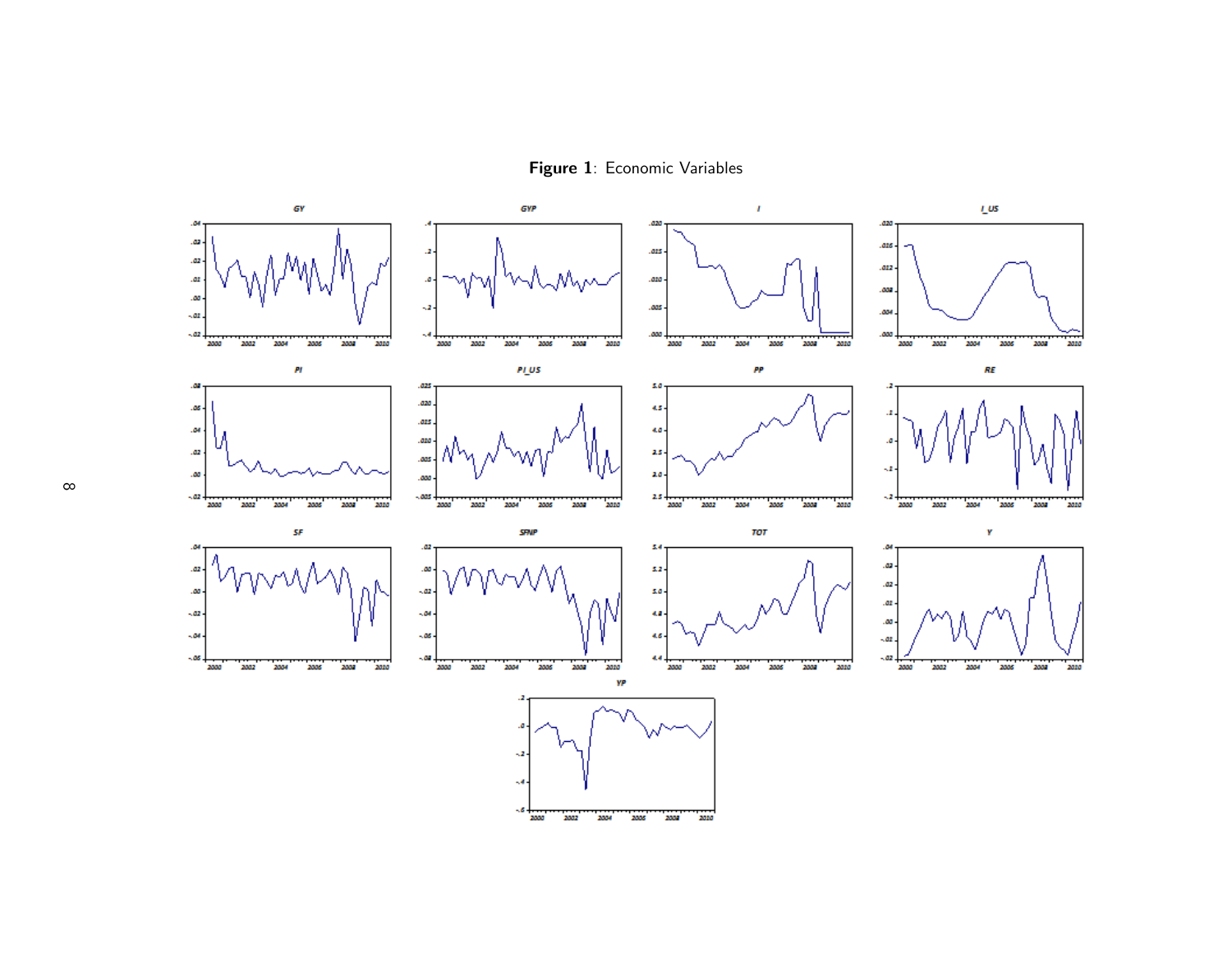Figure 1: Economic Variables

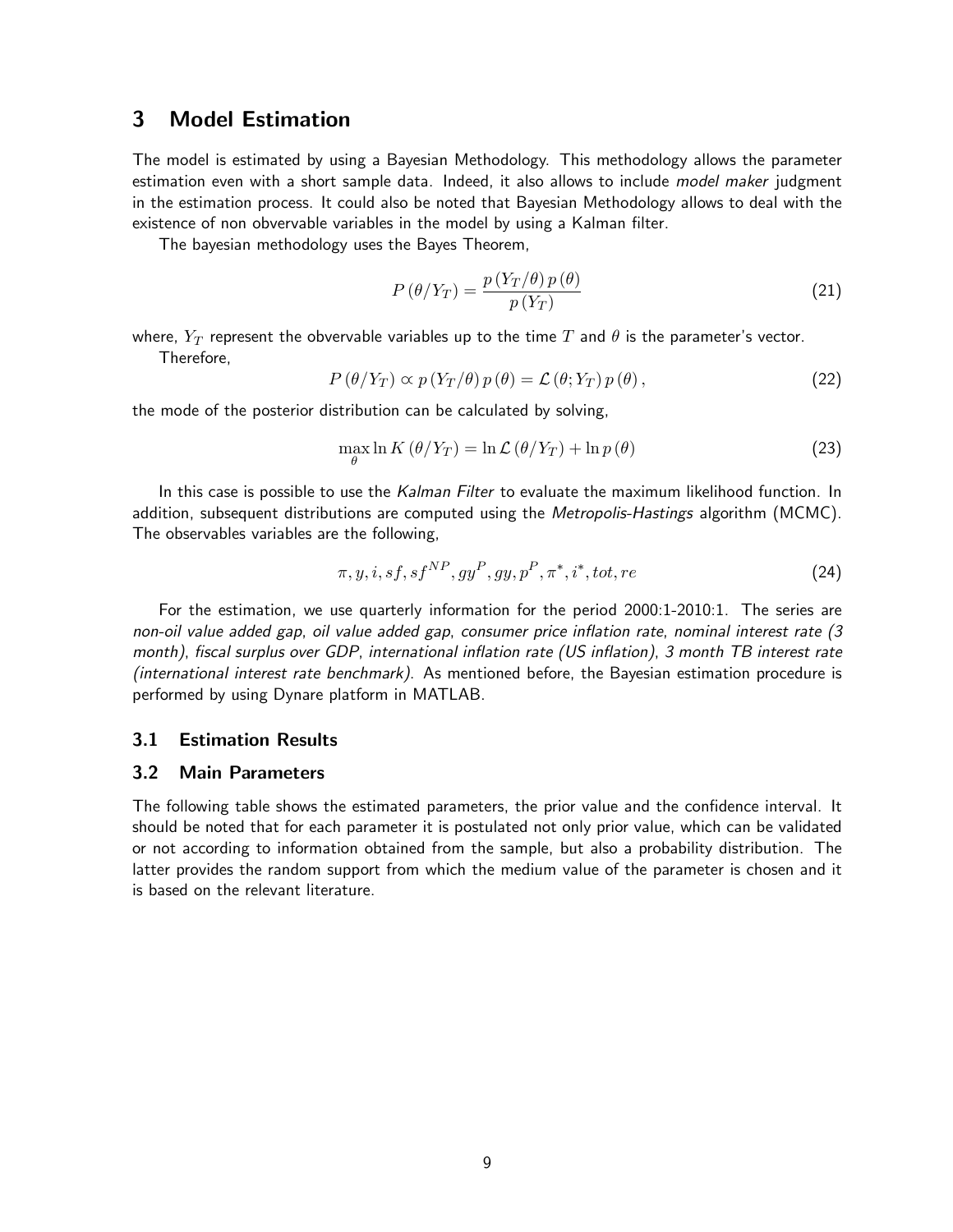### 3 Model Estimation

The model is estimated by using a Bayesian Methodology. This methodology allows the parameter estimation even with a short sample data. Indeed, it also allows to include *model maker* judgment in the estimation process. It could also be noted that Bayesian Methodology allows to deal with the existence of non obvervable variables in the model by using a Kalman filter.

The bayesian methodology uses the Bayes Theorem,

$$
P\left(\theta/Y_T\right) = \frac{p\left(Y_T/\theta\right)p\left(\theta\right)}{p\left(Y_T\right)}\tag{21}
$$

where,  $Y_T$  represent the obvervable variables up to the time  $T$  and  $\theta$  is the parameter's vector.

Therefore,

$$
P(\theta/Y_T) \propto p(Y_T/\theta) p(\theta) = \mathcal{L}(\theta; Y_T) p(\theta), \qquad (22)
$$

the mode of the posterior distribution can be calculated by solving,

$$
\max_{\theta} \ln K(\theta/Y_T) = \ln \mathcal{L}(\theta/Y_T) + \ln p(\theta)
$$
\n(23)

In this case is possible to use the *Kalman Filter* to evaluate the maximum likelihood function. In addition, subsequent distributions are computed using the Metropolis-Hastings algorithm (MCMC). The observables variables are the following,

$$
\pi, y, i, sf, sf^{NP}, gy^P, gy, p^P, \pi^*, i^*, tot, re
$$
\n
$$
(24)
$$

For the estimation, we use quarterly information for the period 2000:1-2010:1. The series are non-oil value added gap, oil value added gap, consumer price inflation rate, nominal interest rate  $(3)$ month), fiscal surplus over GDP, international inflation rate (US inflation), 3 month TB interest rate (international interest rate benchmark). As mentioned before, the Bayesian estimation procedure is performed by using Dynare platform in MATLAB.

### 3.1 Estimation Results

### 3.2 Main Parameters

The following table shows the estimated parameters, the prior value and the confidence interval. It should be noted that for each parameter it is postulated not only prior value, which can be validated or not according to information obtained from the sample, but also a probability distribution. The latter provides the random support from which the medium value of the parameter is chosen and it is based on the relevant literature.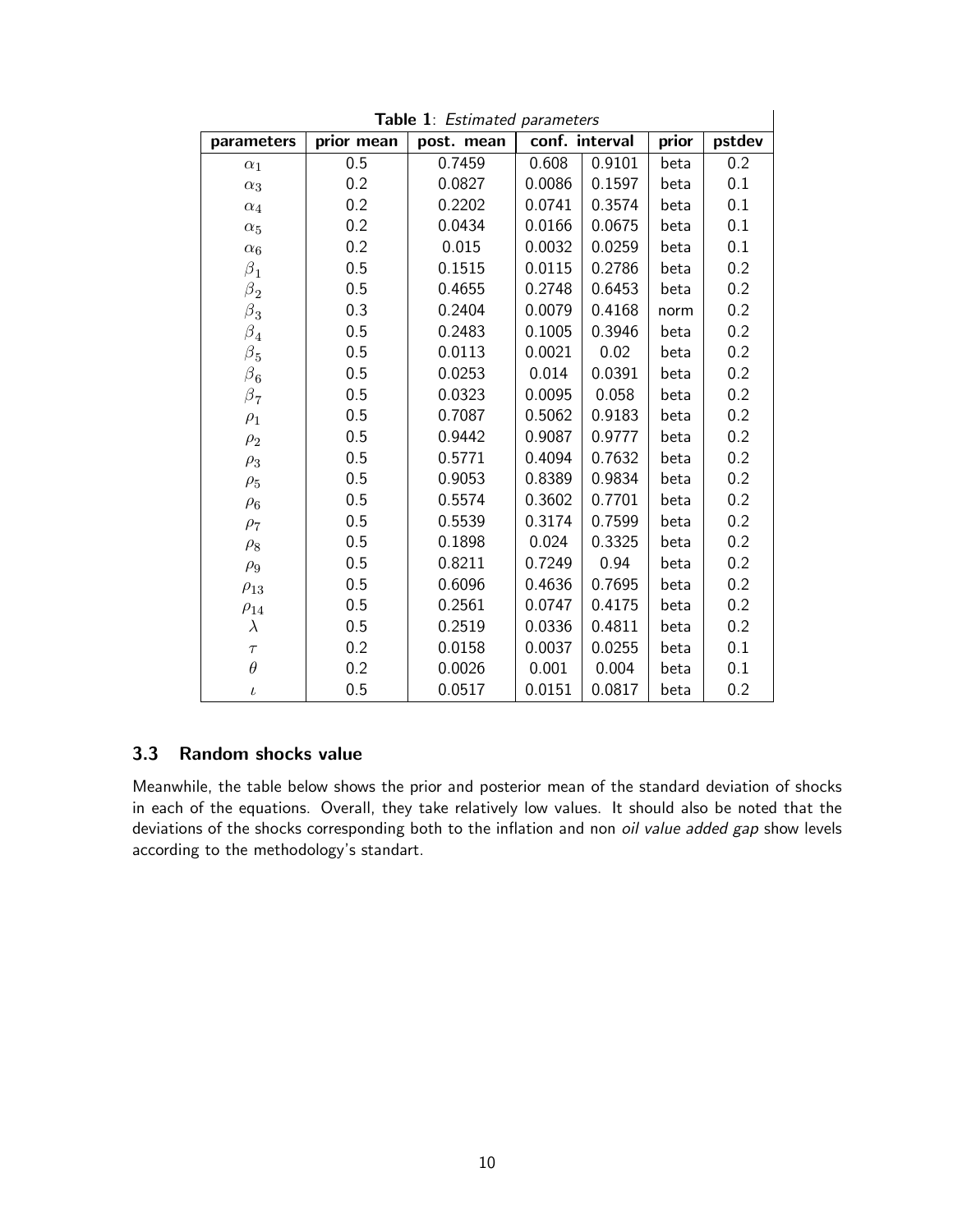| Table 1: Estimated parameters |            |            |        |                |       |        |  |  |  |
|-------------------------------|------------|------------|--------|----------------|-------|--------|--|--|--|
| parameters                    | prior mean | post. mean |        | conf. interval | prior | pstdev |  |  |  |
| $\alpha_1$                    | 0.5        | 0.7459     | 0.608  | 0.9101         | beta  | 0.2    |  |  |  |
| $\alpha_3$                    | 0.2        | 0.0827     | 0.0086 | 0.1597         | beta  | 0.1    |  |  |  |
| $\alpha_4$                    | 0.2        | 0.2202     | 0.0741 | 0.3574         | beta  | 0.1    |  |  |  |
| $\alpha_5$                    | 0.2        | 0.0434     | 0.0166 | 0.0675         | beta  | 0.1    |  |  |  |
| $\alpha_6$                    | 0.2        | 0.015      | 0.0032 | 0.0259         | beta  | 0.1    |  |  |  |
| $\beta_1$                     | 0.5        | 0.1515     | 0.0115 | 0.2786         | beta  | 0.2    |  |  |  |
| $\beta_2$                     | 0.5        | 0.4655     | 0.2748 | 0.6453         | beta  | 0.2    |  |  |  |
| $\beta_3$                     | 0.3        | 0.2404     | 0.0079 | 0.4168         | norm  | 0.2    |  |  |  |
| $\beta_4$                     | 0.5        | 0.2483     | 0.1005 | 0.3946         | beta  | 0.2    |  |  |  |
| $\beta_5$                     | 0.5        | 0.0113     | 0.0021 | 0.02           | beta  | 0.2    |  |  |  |
| $\beta_6$                     | 0.5        | 0.0253     | 0.014  | 0.0391         | beta  | 0.2    |  |  |  |
| $\beta_7$                     | 0.5        | 0.0323     | 0.0095 | 0.058          | beta  | 0.2    |  |  |  |
| $\rho_1$                      | 0.5        | 0.7087     | 0.5062 | 0.9183         | beta  | 0.2    |  |  |  |
| $\rho_2$                      | 0.5        | 0.9442     | 0.9087 | 0.9777         | beta  | 0.2    |  |  |  |
| $\rho_3$                      | 0.5        | 0.5771     | 0.4094 | 0.7632         | beta  | 0.2    |  |  |  |
| $\rho_5$                      | 0.5        | 0.9053     | 0.8389 | 0.9834         | beta  | 0.2    |  |  |  |
| $\rho_6$                      | 0.5        | 0.5574     | 0.3602 | 0.7701         | beta  | 0.2    |  |  |  |
| $\rho_7$                      | 0.5        | 0.5539     | 0.3174 | 0.7599         | beta  | 0.2    |  |  |  |
| $\rho_8$                      | 0.5        | 0.1898     | 0.024  | 0.3325         | beta  | 0.2    |  |  |  |
| $\rho_9$                      | 0.5        | 0.8211     | 0.7249 | 0.94           | beta  | 0.2    |  |  |  |
| $\rho_{13}$                   | 0.5        | 0.6096     | 0.4636 | 0.7695         | beta  | 0.2    |  |  |  |
| $\rho_{14}$                   | 0.5        | 0.2561     | 0.0747 | 0.4175         | beta  | 0.2    |  |  |  |
| $\lambda$                     | 0.5        | 0.2519     | 0.0336 | 0.4811         | beta  | 0.2    |  |  |  |
| $\tau$                        | 0.2        | 0.0158     | 0.0037 | 0.0255         | beta  | 0.1    |  |  |  |
| $\theta$                      | 0.2        | 0.0026     | 0.001  | 0.004          | beta  | 0.1    |  |  |  |
| $\iota$                       | 0.5        | 0.0517     | 0.0151 | 0.0817         | beta  | 0.2    |  |  |  |

### 3.3 Random shocks value

Meanwhile, the table below shows the prior and posterior mean of the standard deviation of shocks in each of the equations. Overall, they take relatively low values. It should also be noted that the deviations of the shocks corresponding both to the inflation and non oil value added gap show levels according to the methodology's standart.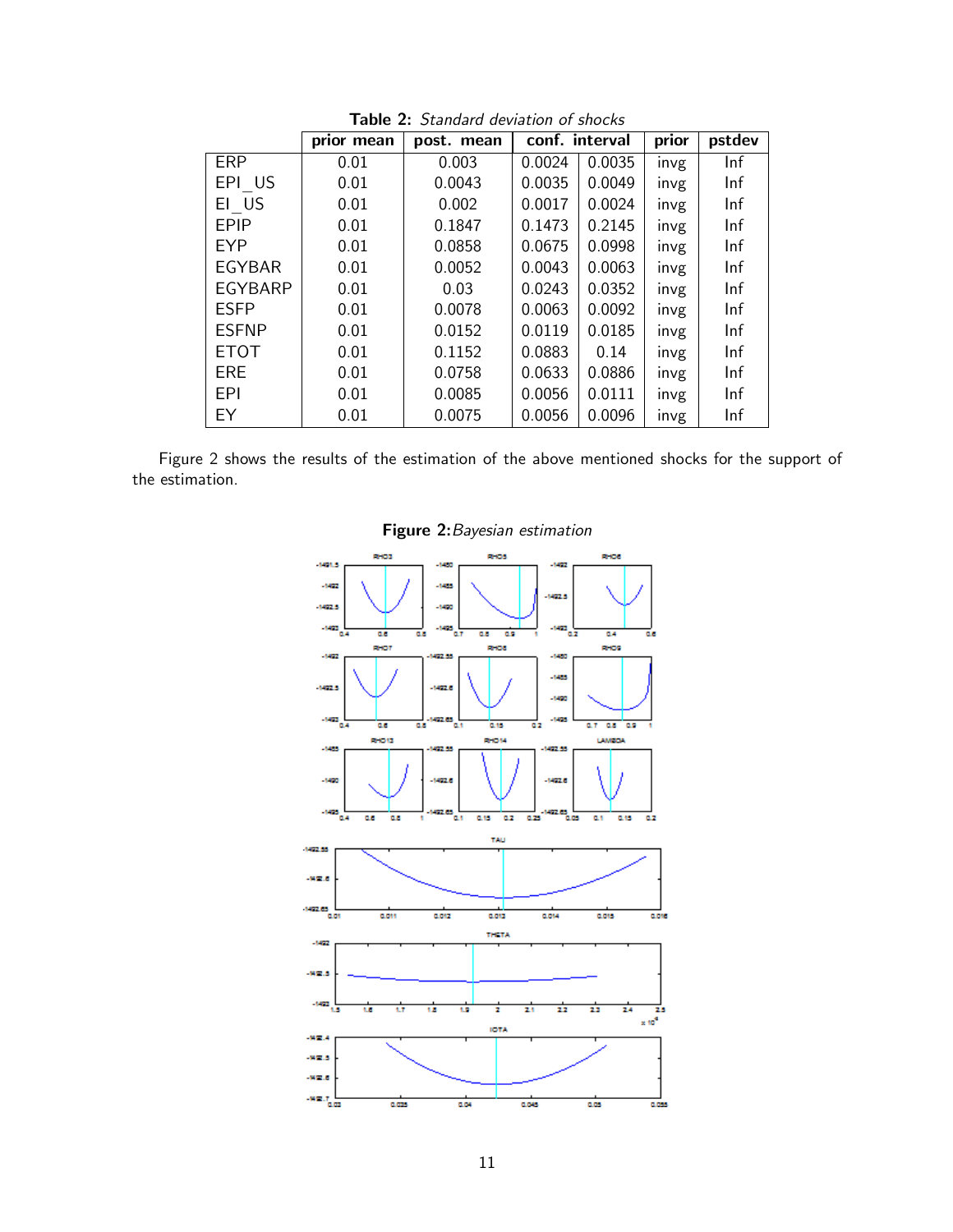|                | prior mean | post. mean |        | conf. interval | prior | pstdev |
|----------------|------------|------------|--------|----------------|-------|--------|
| ERP            | 0.01       | 0.003      | 0.0024 | 0.0035         | invg  | Inf    |
| EPI US         | 0.01       | 0.0043     | 0.0035 | 0.0049         | invg  | Inf    |
| EI US          | 0.01       | 0.002      | 0.0017 | 0.0024         | invg  | Inf    |
| EPIP           | 0.01       | 0.1847     | 0.1473 | 0.2145         | invg  | Inf    |
| EYP            | 0.01       | 0.0858     | 0.0675 | 0.0998         | invg  | Inf    |
| EGYBAR         | 0.01       | 0.0052     | 0.0043 | 0.0063         | invg  | Inf    |
| <b>EGYBARP</b> | 0.01       | 0.03       | 0.0243 | 0.0352         | invg  | Inf    |
| <b>ESFP</b>    | 0.01       | 0.0078     | 0.0063 | 0.0092         | invg  | Inf    |
| <b>ESFNP</b>   | 0.01       | 0.0152     | 0.0119 | 0.0185         | invg  | Inf    |
| <b>ETOT</b>    | 0.01       | 0.1152     | 0.0883 | 0.14           | invg  | Inf    |
| ERE            | 0.01       | 0.0758     | 0.0633 | 0.0886         | invg  | Inf    |
| EPI            | 0.01       | 0.0085     | 0.0056 | 0.0111         | invg  | Inf    |
| EY             | 0.01       | 0.0075     | 0.0056 | 0.0096         | invg  | Inf    |

Table 2: Standard deviation of shocks

Figure 2 shows the results of the estimation of the above mentioned shocks for the support of the estimation.



### Figure 2:Bayesian estimation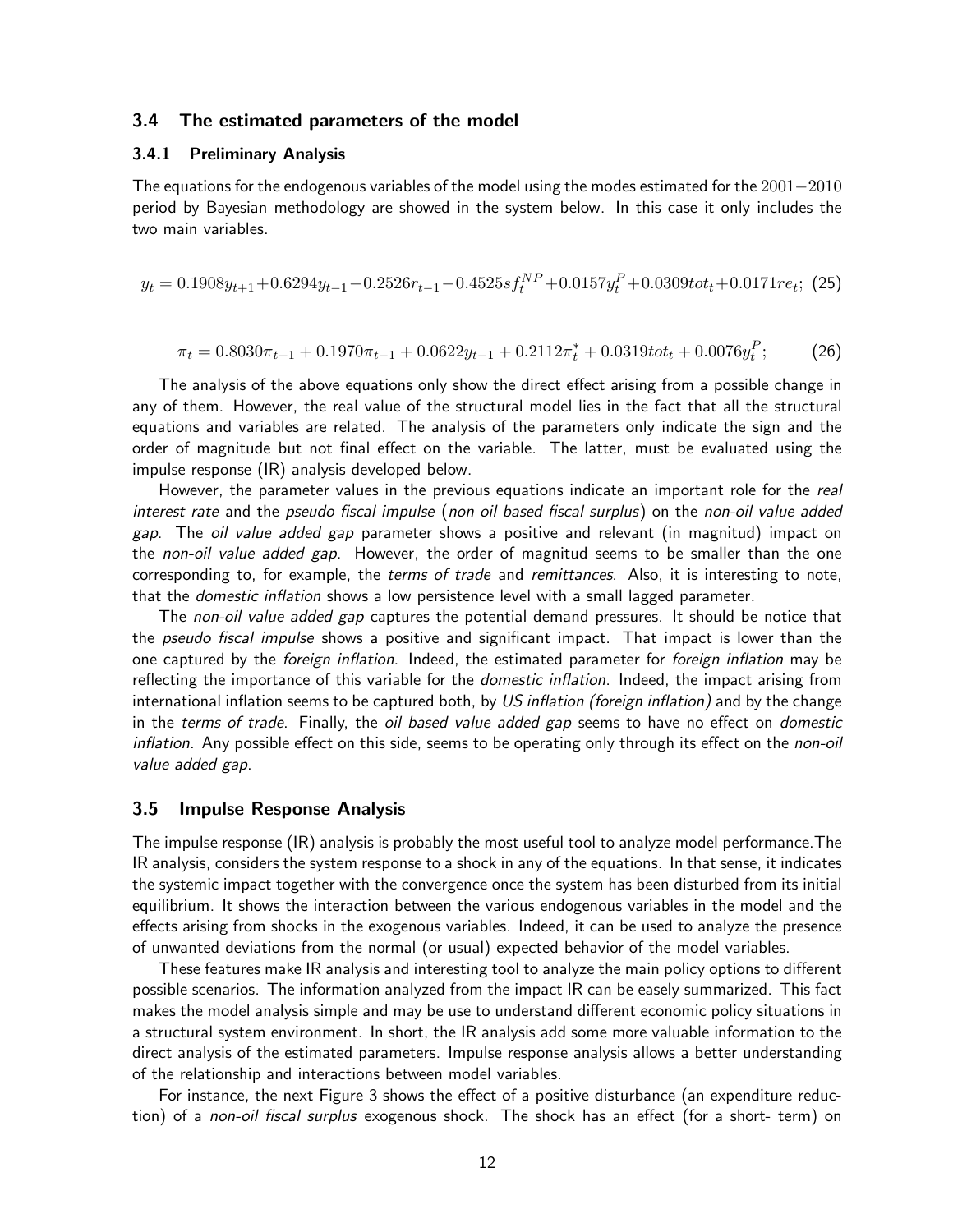### 3.4 The estimated parameters of the model

### 3.4.1 Preliminary Analysis

The equations for the endogenous variables of the model using the modes estimated for the  $2001-2010$ period by Bayesian methodology are showed in the system below. In this case it only includes the two main variables.

$$
y_t = 0.1908y_{t+1} + 0.6294y_{t-1} - 0.2526r_{t-1} - 0.4525sf_t^{NP} + 0.0157y_t^P + 0.0309\tau \omega_t + 0.0171r e_t; \tag{25}
$$

$$
\pi_t = 0.8030\pi_{t+1} + 0.1970\pi_{t-1} + 0.0622y_{t-1} + 0.2112\pi_t^* + 0.0319\tau_{t} + 0.0076y_t^P; \tag{26}
$$

The analysis of the above equations only show the direct effect arising from a possible change in any of them. However, the real value of the structural model lies in the fact that all the structural equations and variables are related. The analysis of the parameters only indicate the sign and the order of magnitude but not final effect on the variable. The latter, must be evaluated using the impulse response (IR) analysis developed below.

However, the parameter values in the previous equations indicate an important role for the real interest rate and the pseudo fiscal impulse (non oil based fiscal surplus) on the non-oil value added gap. The oil value added gap parameter shows a positive and relevant (in magnitud) impact on the non-oil value added gap. However, the order of magnitud seems to be smaller than the one corresponding to, for example, the terms of trade and remittances. Also, it is interesting to note, that the *domestic inflation* shows a low persistence level with a small lagged parameter.

The non-oil value added gap captures the potential demand pressures. It should be notice that the *pseudo fiscal impulse* shows a positive and significant impact. That impact is lower than the one captured by the *foreign inflation*. Indeed, the estimated parameter for *foreign inflation* may be reflecting the importance of this variable for the *domestic inflation*. Indeed, the impact arising from international inflation seems to be captured both, by US inflation (foreign inflation) and by the change in the terms of trade. Finally, the oil based value added gap seems to have no effect on domestic inflation. Any possible effect on this side, seems to be operating only through its effect on the non-oil value added gap.

#### 3.5 Impulse Response Analysis

The impulse response (IR) analysis is probably the most useful tool to analyze model performance.The IR analysis, considers the system response to a shock in any of the equations. In that sense, it indicates the systemic impact together with the convergence once the system has been disturbed from its initial equilibrium. It shows the interaction between the various endogenous variables in the model and the effects arising from shocks in the exogenous variables. Indeed, it can be used to analyze the presence of unwanted deviations from the normal (or usual) expected behavior of the model variables.

These features make IR analysis and interesting tool to analyze the main policy options to different possible scenarios. The information analyzed from the impact IR can be easely summarized. This fact makes the model analysis simple and may be use to understand different economic policy situations in a structural system environment. In short, the IR analysis add some more valuable information to the direct analysis of the estimated parameters. Impulse response analysis allows a better understanding of the relationship and interactions between model variables.

For instance, the next Figure 3 shows the effect of a positive disturbance (an expenditure reduction) of a non-oil fiscal surplus exogenous shock. The shock has an effect (for a short- term) on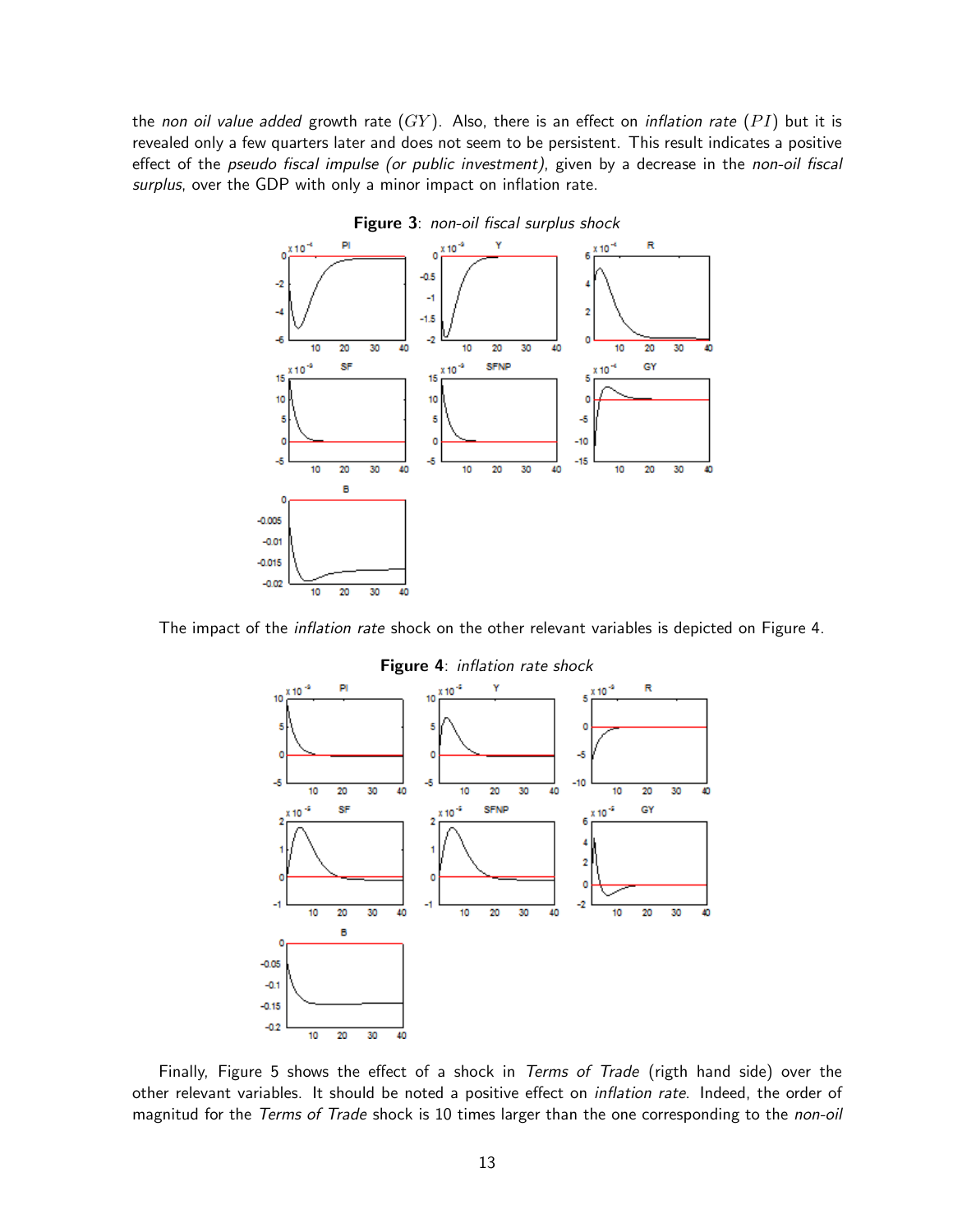the non oil value added growth rate  $(GY)$ . Also, there is an effect on inflation rate (PI) but it is revealed only a few quarters later and does not seem to be persistent. This result indicates a positive effect of the pseudo fiscal impulse (or public investment), given by a decrease in the non-oil fiscal surplus, over the GDP with only a minor impact on inflation rate.



The impact of the *inflation rate* shock on the other relevant variables is depicted on Figure 4.



Figure 4: inflation rate shock

Finally, Figure 5 shows the effect of a shock in Terms of Trade (rigth hand side) over the other relevant variables. It should be noted a positive effect on *inflation rate*. Indeed, the order of magnitud for the Terms of Trade shock is 10 times larger than the one corresponding to the non-oil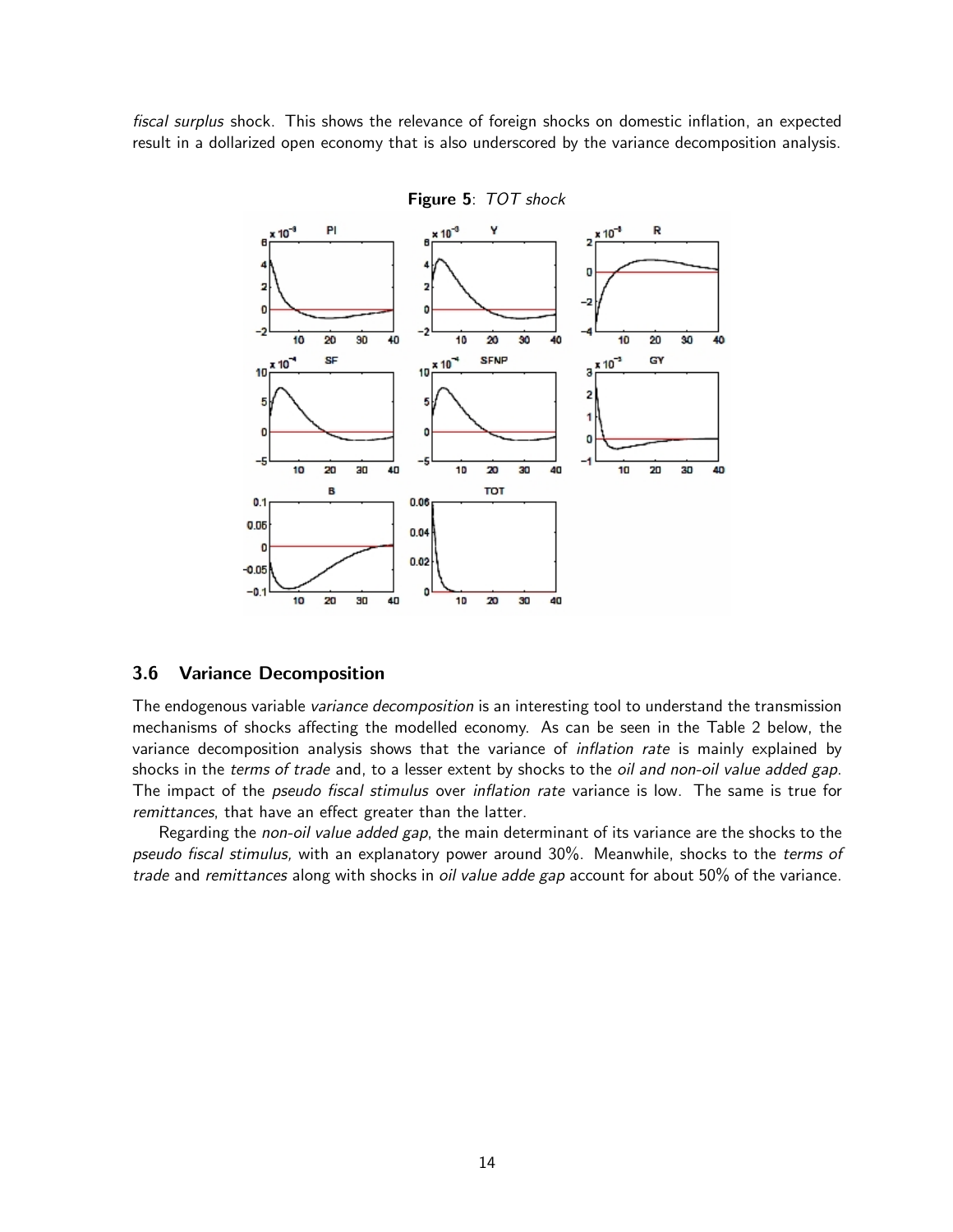fiscal surplus shock. This shows the relevance of foreign shocks on domestic inflation, an expected result in a dollarized open economy that is also underscored by the variance decomposition analysis.



Figure 5: TOT shock

### 3.6 Variance Decomposition

The endogenous variable *variance decomposition* is an interesting tool to understand the transmission mechanisms of shocks affecting the modelled economy. As can be seen in the Table 2 below, the variance decomposition analysis shows that the variance of *inflation rate* is mainly explained by shocks in the terms of trade and, to a lesser extent by shocks to the oil and non-oil value added gap. The impact of the *pseudo fiscal stimulus* over *inflation rate* variance is low. The same is true for remittances, that have an effect greater than the latter.

Regarding the non-oil value added gap, the main determinant of its variance are the shocks to the pseudo fiscal stimulus, with an explanatory power around 30%. Meanwhile, shocks to the terms of trade and remittances along with shocks in oil value adde gap account for about 50% of the variance.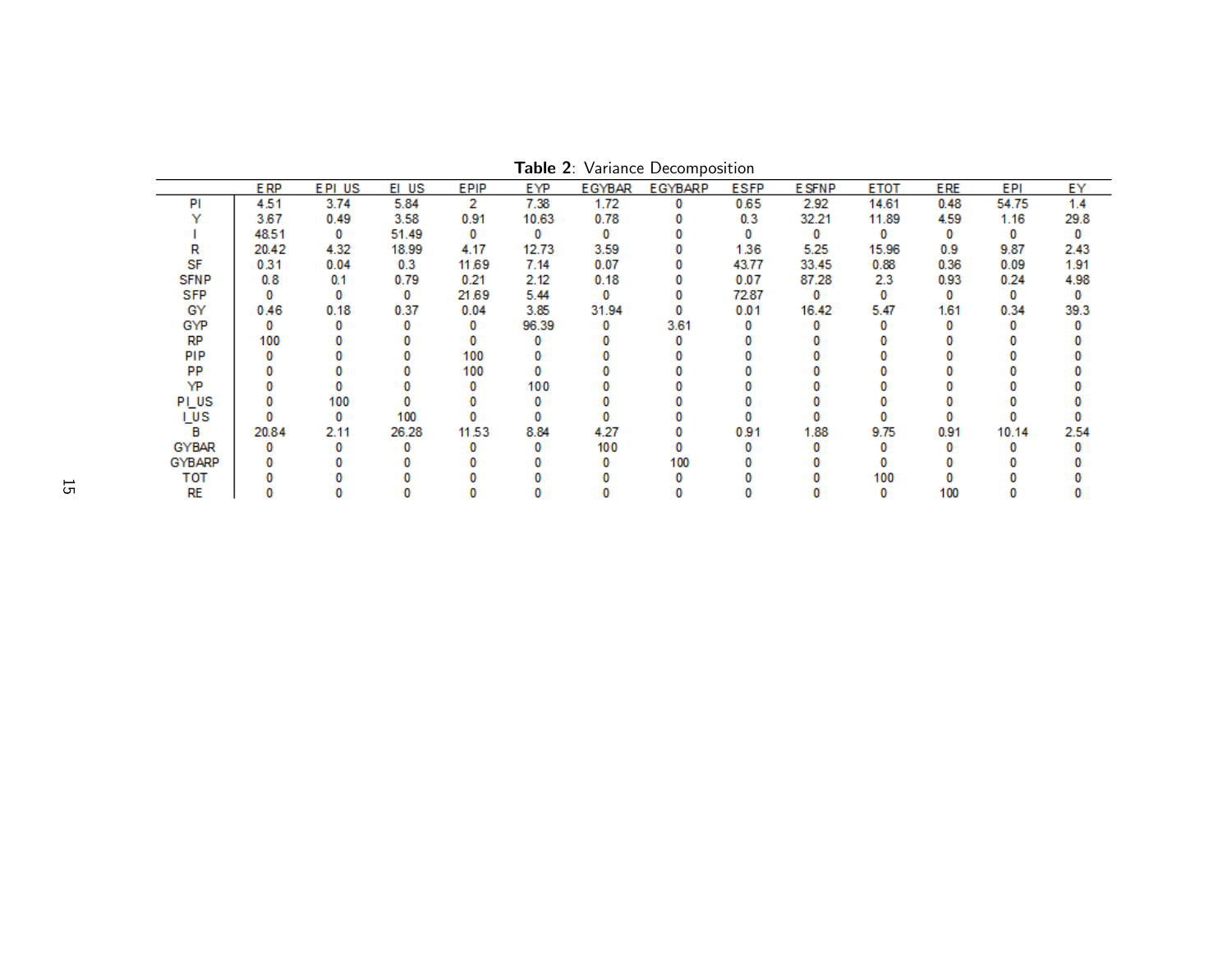|              | E RP  | EPI US | EI US | <b>EPIP</b> | <b>EYP</b> | <b>EGYBAR</b> | EGYBARP | <b>ESFP</b> | <b>ESFNP</b> | <b>ETOT</b> | <b>ERE</b> | EPI   | EY   |
|--------------|-------|--------|-------|-------------|------------|---------------|---------|-------------|--------------|-------------|------------|-------|------|
| PI           | 4.51  | 3.74   | 5.84  | 2           | 7.38       | 1.72          | 0       | 0.65        | 2.92         | 14.61       | 0.48       | 54.75 | 1.4  |
|              | 3.67  | 0.49   | 3.58  | 0.91        | 10.63      | 0.78          |         | 0.3         | 32.21        | 11.89       | 4.59       | 1.16  | 29.8 |
|              | 48.51 | 0      | 51.49 | 0           | 0          | 0             |         | 0           | 0            | 0           | 0          | 0     | 0    |
| R            | 20.42 | 4.32   | 18.99 | 4.17        | 12.73      | 3.59          |         | 1.36        | 5.25         | 15.96       | 0.9        | 9.87  | 2.43 |
| SF           | 0.31  | 0.04   | 0.3   | 11.69       | 7.14       | 0.07          | 0       | 43.77       | 33.45        | 0.88        | 0.36       | 0.09  | 1.91 |
| <b>SFNP</b>  | 0.8   | 0.1    | 0.79  | 0.21        | 2.12       | 0.18          |         | 0.07        | 87.28        | 2.3         | 0.93       | 0.24  | 4.98 |
| SFP          | 0     | 0      | 0     | 21.69       | 5.44       | 0             |         | 72.87       | 0            | 0           | 0          | 0     | 0    |
| GY           | 0.46  | 0.18   | 0.37  | 0.04        | 3.85       | 31.94         | 0       | 0.01        | 16.42        | 5.47        | 1.61       | 0.34  | 39.3 |
| GYP          | 0     | 0      |       | 0           | 96.39      | 0             | 3.61    | 0           |              |             |            |       |      |
| <b>RP</b>    | 100   |        |       | 0           |            |               |         |             |              |             |            |       |      |
| <b>PIP</b>   |       |        |       | 100         |            |               |         |             |              |             |            |       |      |
| PP           |       |        |       | 100         | 0          |               |         |             |              |             |            |       |      |
| YP           |       |        |       | 0           | 100        |               |         |             |              |             |            |       |      |
| <b>PI_US</b> | 0     | 100    |       |             |            |               |         |             |              |             |            |       |      |
| LUS          |       | 0      | 100   |             |            |               |         |             |              |             |            |       |      |
| в            | 20.84 | 2.11   | 26.28 | 11.53       | 8.84       | 4.27          |         | 0.91        | 1.88         | 9.75        | 0.91       | 10.14 | 2.54 |
| <b>GYBAR</b> | 0     | 0      |       | 0           | 0          | 100           |         |             |              |             |            |       |      |
| GYBARP       |       |        |       |             |            | 0             | 100     |             |              |             |            |       |      |
| тот          |       |        |       |             |            |               |         |             |              | 100         |            |       |      |
| <b>RE</b>    |       |        |       |             |            |               |         |             |              | 0           | 100        |       |      |

Table <sup>2</sup>: Variance Decomposition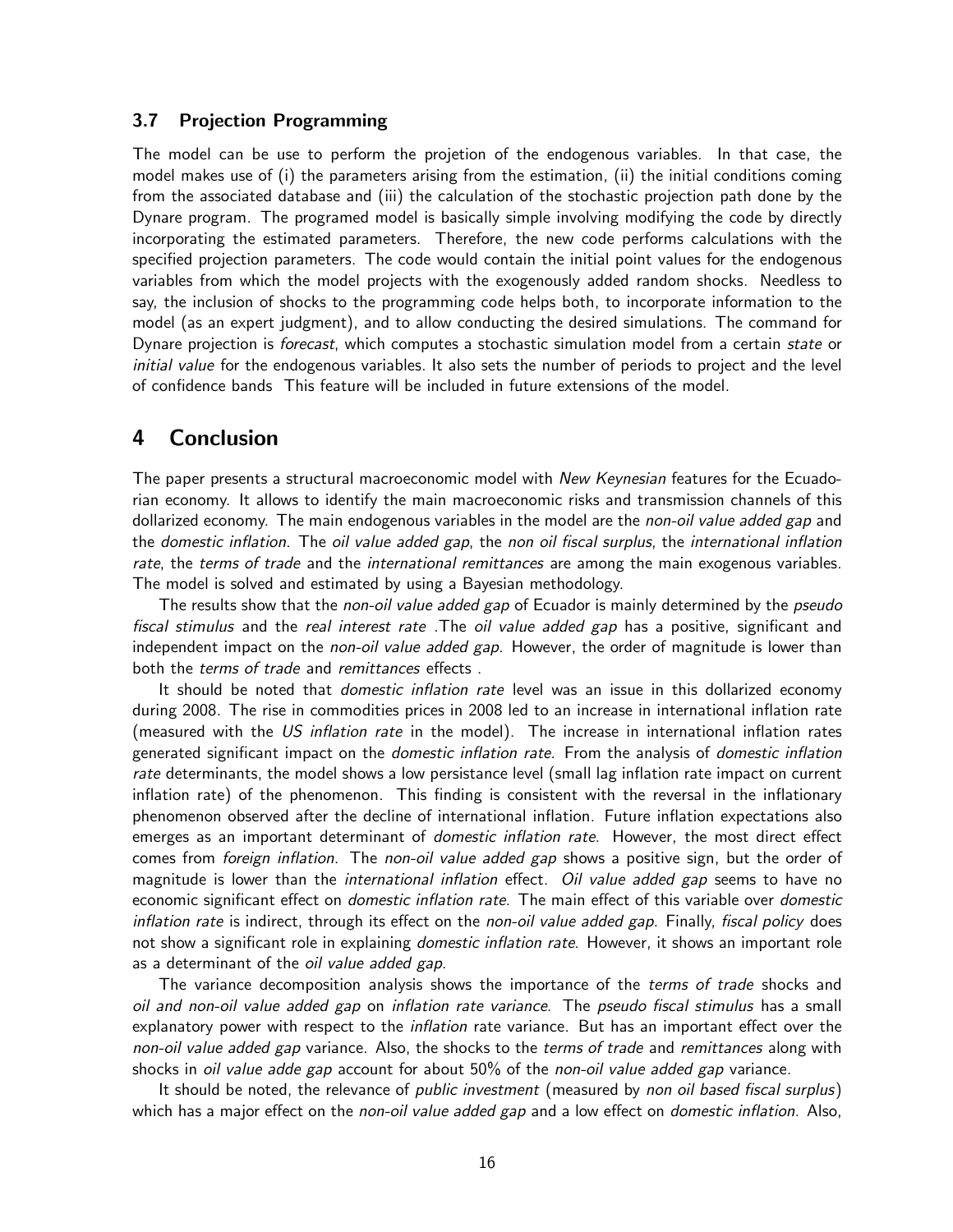### 3.7 Projection Programming

The model can be use to perform the projetion of the endogenous variables. In that case, the model makes use of (i) the parameters arising from the estimation, (ii) the initial conditions coming from the associated database and (iii) the calculation of the stochastic projection path done by the Dynare program. The programed model is basically simple involving modifying the code by directly incorporating the estimated parameters. Therefore, the new code performs calculations with the specified projection parameters. The code would contain the initial point values for the endogenous variables from which the model projects with the exogenously added random shocks. Needless to say, the inclusion of shocks to the programming code helps both, to incorporate information to the model (as an expert judgment), and to allow conducting the desired simulations. The command for Dynare projection is *forecast*, which computes a stochastic simulation model from a certain *state* or initial value for the endogenous variables. It also sets the number of periods to project and the level of confidence bands This feature will be included in future extensions of the model.

### 4 Conclusion

The paper presents a structural macroeconomic model with New Keynesian features for the Ecuadorian economy. It allows to identify the main macroeconomic risks and transmission channels of this dollarized economy. The main endogenous variables in the model are the non-oil value added gap and the domestic inflation. The oil value added gap, the non oil fiscal surplus, the international inflation rate, the terms of trade and the international remittances are among the main exogenous variables. The model is solved and estimated by using a Bayesian methodology.

The results show that the *non-oil value added gap* of Ecuador is mainly determined by the *pseudo* fiscal stimulus and the real interest rate. The oil value added gap has a positive, significant and independent impact on the non-oil value added gap. However, the order of magnitude is lower than both the *terms of trade* and *remittances* effects.

It should be noted that *domestic inflation rate* level was an issue in this dollarized economy during 2008. The rise in commodities prices in 2008 led to an increase in international inflation rate (measured with the *US inflation rate* in the model). The increase in international inflation rates generated significant impact on the domestic inflation rate. From the analysis of domestic inflation rate determinants, the model shows a low persistance level (small lag inflation rate impact on current inflation rate) of the phenomenon. This finding is consistent with the reversal in the inflationary phenomenon observed after the decline of international inflation. Future inflation expectations also emerges as an important determinant of *domestic inflation rate*. However, the most direct effect comes from *foreign inflation*. The *non-oil value added gap* shows a positive sign, but the order of magnitude is lower than the *international inflation* effect. *Oil value added gap* seems to have no economic significant effect on *domestic inflation rate*. The main effect of this variable over *domestic* inflation rate is indirect, through its effect on the non-oil value added gap. Finally, fiscal policy does not show a significant role in explaining domestic inflation rate. However, it shows an important role as a determinant of the *oil value added gap*.

The variance decomposition analysis shows the importance of the *terms of trade* shocks and oil and non-oil value added gap on inflation rate variance. The pseudo fiscal stimulus has a small explanatory power with respect to the *inflation* rate variance. But has an important effect over the non-oil value added gap variance. Also, the shocks to the terms of trade and remittances along with shocks in oil value adde gap account for about 50% of the non-oil value added gap variance.

It should be noted, the relevance of *public investment* (measured by non oil based fiscal surplus) which has a major effect on the non-oil value added gap and a low effect on domestic inflation. Also,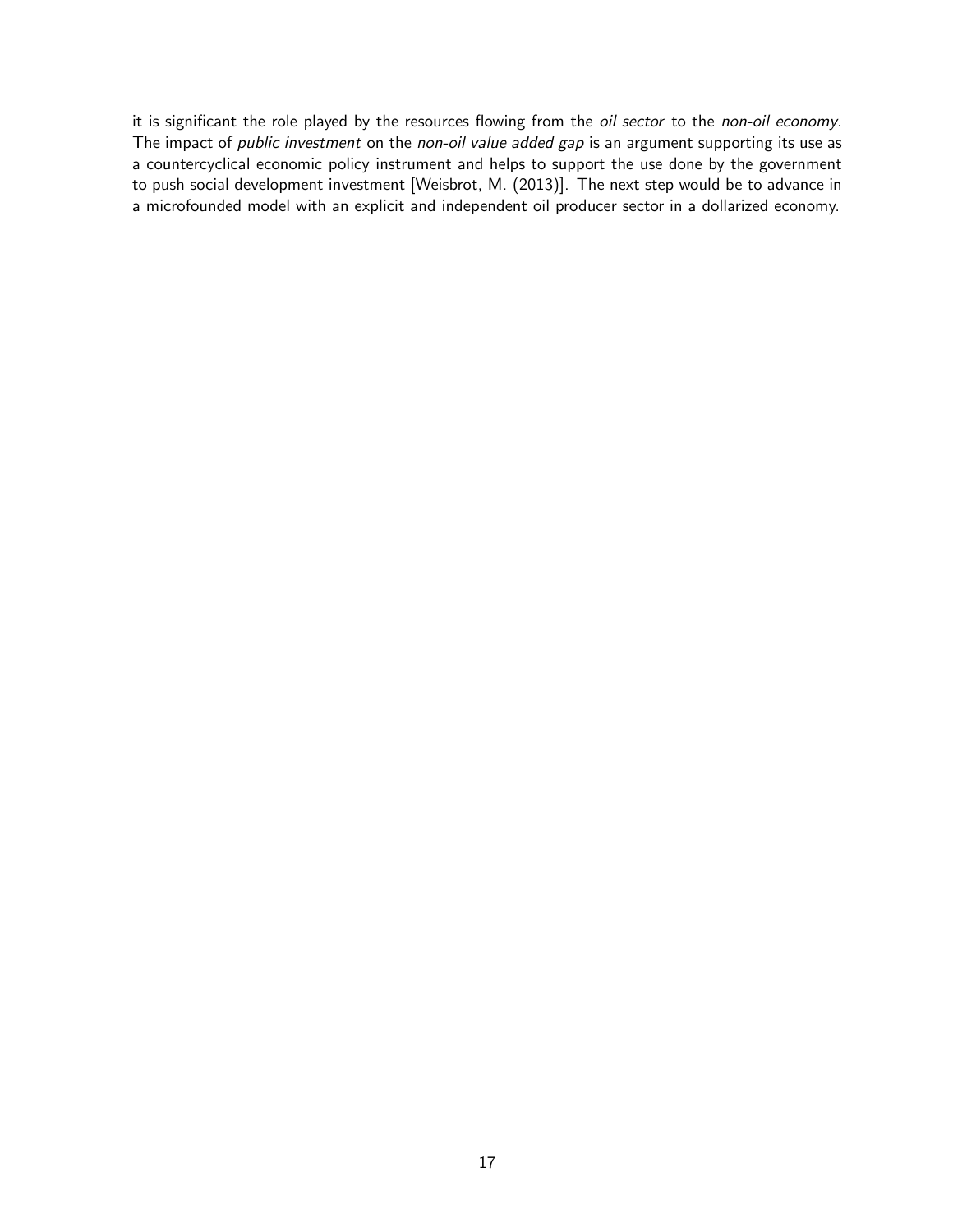it is significant the role played by the resources flowing from the oil sector to the non-oil economy. The impact of public investment on the non-oil value added gap is an argument supporting its use as a countercyclical economic policy instrument and helps to support the use done by the government to push social development investment [Weisbrot, M. (2013)]. The next step would be to advance in a microfounded model with an explicit and independent oil producer sector in a dollarized economy.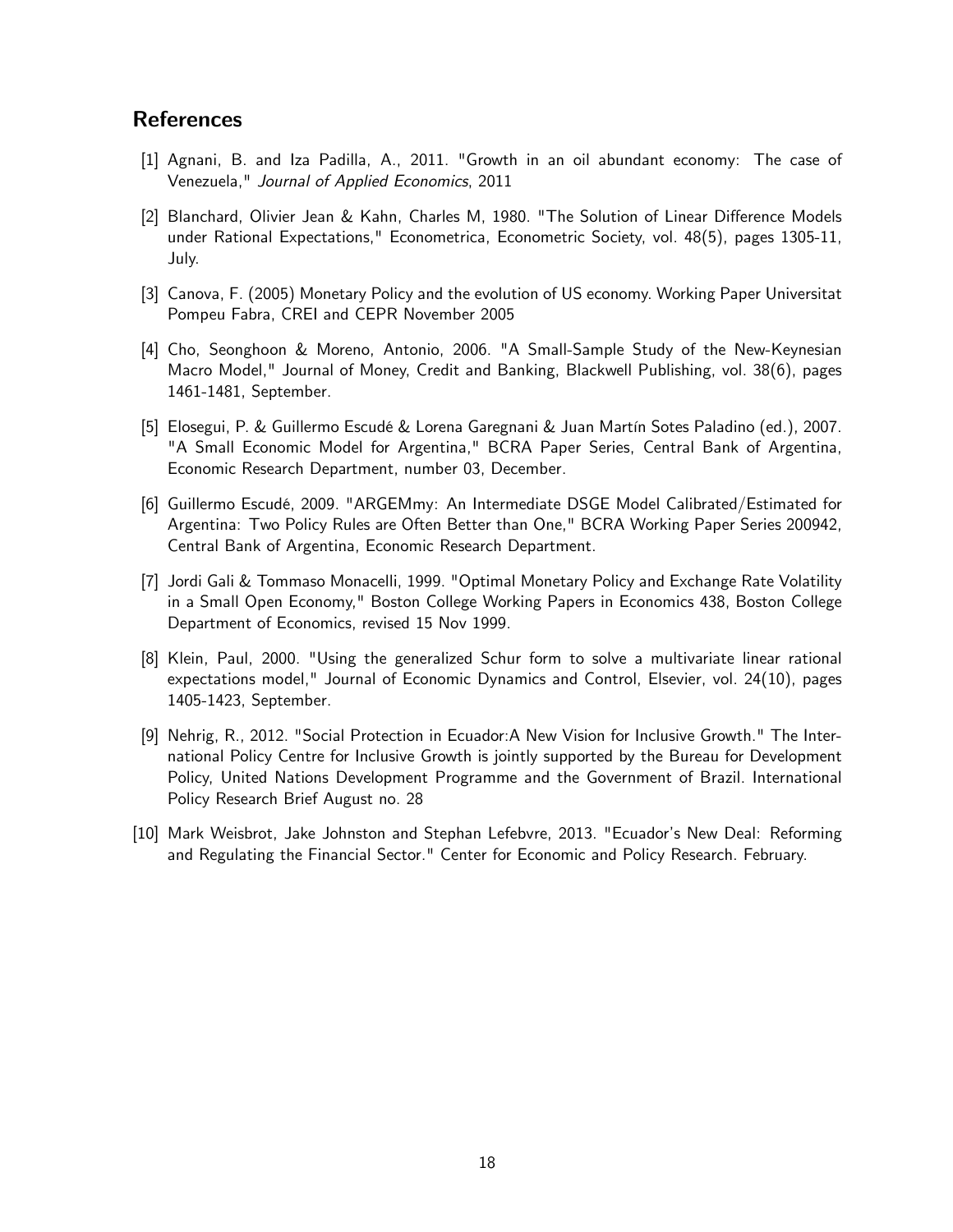### **References**

- [1] Agnani, B. and Iza Padilla, A., 2011. "Growth in an oil abundant economy: The case of Venezuela," Journal of Applied Economics, 2011
- [2] Blanchard, Olivier Jean & Kahn, Charles M, 1980. "The Solution of Linear Difference Models under Rational Expectations," Econometrica, Econometric Society, vol. 48(5), pages 1305-11, July.
- [3] Canova, F. (2005) Monetary Policy and the evolution of US economy. Working Paper Universitat Pompeu Fabra, CREI and CEPR November 2005
- [4] Cho, Seonghoon & Moreno, Antonio, 2006. "A Small-Sample Study of the New-Keynesian Macro Model," Journal of Money, Credit and Banking, Blackwell Publishing, vol. 38(6), pages 1461-1481, September.
- [5] Elosegui, P. & Guillermo Escudé & Lorena Garegnani & Juan Martín Sotes Paladino (ed.), 2007. "A Small Economic Model for Argentina," BCRA Paper Series, Central Bank of Argentina, Economic Research Department, number 03, December.
- [6] Guillermo Escudé, 2009. "ARGEMmy: An Intermediate DSGE Model Calibrated/Estimated for Argentina: Two Policy Rules are Often Better than One," BCRA Working Paper Series 200942, Central Bank of Argentina, Economic Research Department.
- [7] Jordi Gali & Tommaso Monacelli, 1999. "Optimal Monetary Policy and Exchange Rate Volatility in a Small Open Economy," Boston College Working Papers in Economics 438, Boston College Department of Economics, revised 15 Nov 1999.
- [8] Klein, Paul, 2000. "Using the generalized Schur form to solve a multivariate linear rational expectations model," Journal of Economic Dynamics and Control, Elsevier, vol. 24(10), pages 1405-1423, September.
- [9] Nehrig, R., 2012. "Social Protection in Ecuador:A New Vision for Inclusive Growth." The International Policy Centre for Inclusive Growth is jointly supported by the Bureau for Development Policy, United Nations Development Programme and the Government of Brazil. International Policy Research Brief August no. 28
- [10] Mark Weisbrot, Jake Johnston and Stephan Lefebvre, 2013. "Ecuadorís New Deal: Reforming and Regulating the Financial Sector." Center for Economic and Policy Research. February.